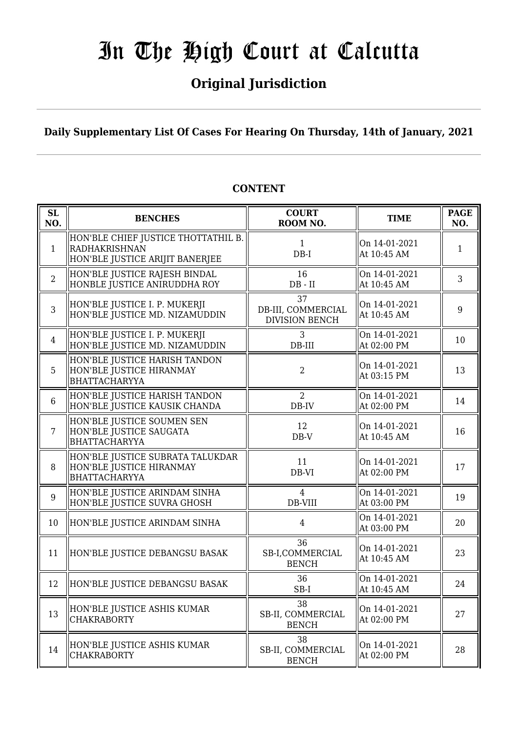## **Original Jurisdiction**

**Daily Supplementary List Of Cases For Hearing On Thursday, 14th of January, 2021**

| SL<br>NO.      | <b>BENCHES</b>                                                                                 | <b>COURT</b><br>ROOM NO.                          | <b>TIME</b>                  | <b>PAGE</b><br>NO. |
|----------------|------------------------------------------------------------------------------------------------|---------------------------------------------------|------------------------------|--------------------|
| $\mathbf{1}$   | HON'BLE CHIEF JUSTICE THOTTATHIL B.<br><b>RADHAKRISHNAN</b><br>HON'BLE JUSTICE ARIJIT BANERJEE | $\mathbf{1}$<br>$DB-I$                            | On 14-01-2021<br>At 10:45 AM | $\mathbf{1}$       |
| $\overline{2}$ | HON'BLE JUSTICE RAJESH BINDAL<br>HONBLE JUSTICE ANIRUDDHA ROY                                  | 16<br>$DB - II$                                   | On 14-01-2021<br>At 10:45 AM | $\overline{3}$     |
| 3              | HON'BLE JUSTICE I. P. MUKERJI<br>HON'BLE JUSTICE MD. NIZAMUDDIN                                | 37<br>DB-III, COMMERCIAL<br><b>DIVISION BENCH</b> | On 14-01-2021<br>At 10:45 AM | 9                  |
| $\overline{4}$ | HON'BLE JUSTICE I. P. MUKERJI<br>HON'BLE JUSTICE MD. NIZAMUDDIN                                | 3<br>$DB-III$                                     | On 14-01-2021<br>At 02:00 PM | 10                 |
| 5              | HON'BLE JUSTICE HARISH TANDON<br>HON'BLE JUSTICE HIRANMAY<br>BHATTACHARYYA                     | $\overline{2}$                                    | On 14-01-2021<br>At 03:15 PM | 13                 |
| $6\phantom{1}$ | HON'BLE JUSTICE HARISH TANDON<br>HON'BLE JUSTICE KAUSIK CHANDA                                 | $\overline{2}$<br>DB-IV                           | On 14-01-2021<br>At 02:00 PM | 14                 |
| $\overline{7}$ | HON'BLE JUSTICE SOUMEN SEN<br>HON'BLE JUSTICE SAUGATA<br>BHATTACHARYYA                         | 12<br>$DB-V$                                      | On 14-01-2021<br>At 10:45 AM | 16                 |
| 8              | HON'BLE JUSTICE SUBRATA TALUKDAR<br>HON'BLE JUSTICE HIRANMAY<br>BHATTACHARYYA                  | 11<br>$DB-VI$                                     | On 14-01-2021<br>At 02:00 PM | 17                 |
| 9              | HON'BLE JUSTICE ARINDAM SINHA<br>HON'BLE JUSTICE SUVRA GHOSH                                   | $\overline{4}$<br>DB-VIII                         | On 14-01-2021<br>At 03:00 PM | 19                 |
| 10             | HON'BLE JUSTICE ARINDAM SINHA                                                                  | $\overline{4}$                                    | On 14-01-2021<br>At 03:00 PM | 20                 |
| 11             | HON'BLE JUSTICE DEBANGSU BASAK                                                                 | 36<br>SB-I,COMMERCIAL<br><b>BENCH</b>             | On 14-01-2021<br>At 10:45 AM | 23                 |
| 12             | HON'BLE JUSTICE DEBANGSU BASAK                                                                 | 36<br>$SB-I$                                      | On 14-01-2021<br>At 10:45 AM | 24                 |
| 13             | HON'BLE JUSTICE ASHIS KUMAR<br><b>CHAKRABORTY</b>                                              | 38<br>SB-II, COMMERCIAL<br><b>BENCH</b>           | On 14-01-2021<br>At 02:00 PM | 27                 |
| 14             | HON'BLE JUSTICE ASHIS KUMAR<br><b>CHAKRABORTY</b>                                              | 38<br>SB-II, COMMERCIAL<br><b>BENCH</b>           | On 14-01-2021<br>At 02:00 PM | 28                 |

## **CONTENT**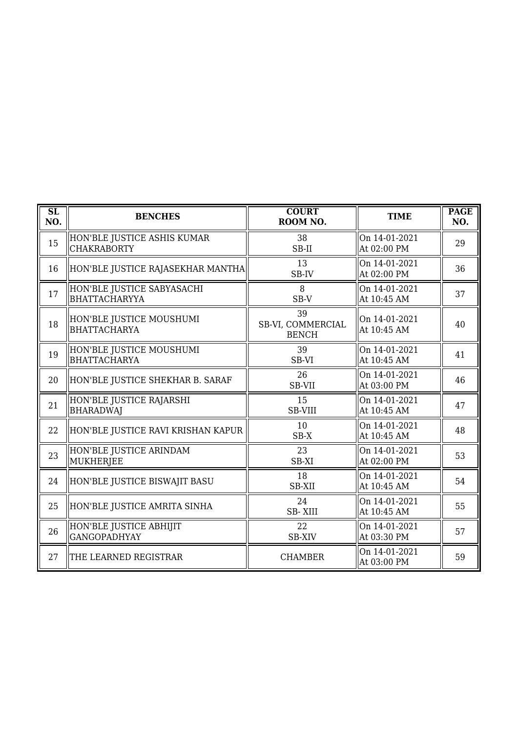| $\overline{\text{SL}}$<br>NO. | <b>BENCHES</b>                                     | <b>COURT</b><br>ROOM NO.                | <b>TIME</b>                  | <b>PAGE</b><br>NO. |
|-------------------------------|----------------------------------------------------|-----------------------------------------|------------------------------|--------------------|
| 15                            | HON'BLE JUSTICE ASHIS KUMAR<br><b>CHAKRABORTY</b>  | 38<br>SB-II                             | On 14-01-2021<br>At 02:00 PM | 29                 |
| 16                            | HON'BLE JUSTICE RAJASEKHAR MANTHA                  | 13<br>SB-IV                             | On 14-01-2021<br>At 02:00 PM | 36                 |
| 17                            | HON'BLE JUSTICE SABYASACHI<br><b>BHATTACHARYYA</b> | 8<br>SB-V                               | On 14-01-2021<br>At 10:45 AM | 37                 |
| 18                            | HON'BLE JUSTICE MOUSHUMI<br><b>BHATTACHARYA</b>    | 39<br>SB-VI, COMMERCIAL<br><b>BENCH</b> | On 14-01-2021<br>At 10:45 AM | 40                 |
| 19                            | HON'BLE JUSTICE MOUSHUMI<br><b>BHATTACHARYA</b>    | 39<br>SB-VI                             | On 14-01-2021<br>At 10:45 AM | 41                 |
| 20                            | HON'BLE JUSTICE SHEKHAR B. SARAF                   | 26<br>SB-VII                            | On 14-01-2021<br>At 03:00 PM | 46                 |
| 21                            | HON'BLE JUSTICE RAJARSHI<br><b>BHARADWAJ</b>       | 15<br><b>SB-VIII</b>                    | On 14-01-2021<br>At 10:45 AM | 47                 |
| 22                            | HON'BLE JUSTICE RAVI KRISHAN KAPUR                 | 10<br>SB-X                              | On 14-01-2021<br>At 10:45 AM | 48                 |
| 23                            | HON'BLE JUSTICE ARINDAM<br>MUKHERJEE               | 23<br>SB-XI                             | On 14-01-2021<br>At 02:00 PM | 53                 |
| 24                            | HON'BLE JUSTICE BISWAJIT BASU                      | 18<br><b>SB-XII</b>                     | On 14-01-2021<br>At 10:45 AM | 54                 |
| 25                            | HON'BLE JUSTICE AMRITA SINHA                       | 24<br><b>SB-XIII</b>                    | On 14-01-2021<br>At 10:45 AM | 55                 |
| 26                            | HON'BLE JUSTICE ABHIJIT<br><b>GANGOPADHYAY</b>     | 22<br><b>SB-XIV</b>                     | On 14-01-2021<br>At 03:30 PM | 57                 |
| 27                            | THE LEARNED REGISTRAR                              | <b>CHAMBER</b>                          | On 14-01-2021<br>At 03:00 PM | 59                 |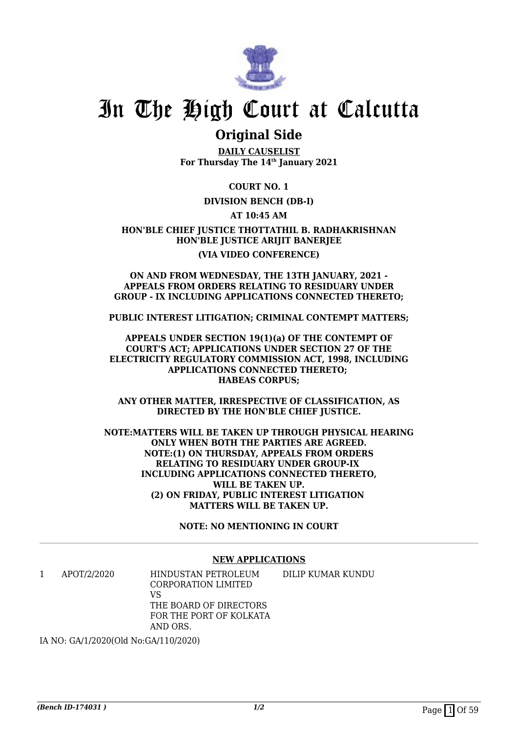

## **Original Side**

**DAILY CAUSELIST For Thursday The 14th January 2021**

**COURT NO. 1**

## **DIVISION BENCH (DB-I)**

**AT 10:45 AM**

**HON'BLE CHIEF JUSTICE THOTTATHIL B. RADHAKRISHNAN HON'BLE JUSTICE ARIJIT BANERJEE (VIA VIDEO CONFERENCE)**

#### **ON AND FROM WEDNESDAY, THE 13TH JANUARY, 2021 - APPEALS FROM ORDERS RELATING TO RESIDUARY UNDER GROUP - IX INCLUDING APPLICATIONS CONNECTED THERETO;**

**PUBLIC INTEREST LITIGATION; CRIMINAL CONTEMPT MATTERS;**

**APPEALS UNDER SECTION 19(1)(a) OF THE CONTEMPT OF COURT'S ACT; APPLICATIONS UNDER SECTION 27 OF THE ELECTRICITY REGULATORY COMMISSION ACT, 1998, INCLUDING APPLICATIONS CONNECTED THERETO; HABEAS CORPUS;**

**ANY OTHER MATTER, IRRESPECTIVE OF CLASSIFICATION, AS DIRECTED BY THE HON'BLE CHIEF JUSTICE.**

**NOTE:MATTERS WILL BE TAKEN UP THROUGH PHYSICAL HEARING ONLY WHEN BOTH THE PARTIES ARE AGREED. NOTE:(1) ON THURSDAY, APPEALS FROM ORDERS RELATING TO RESIDUARY UNDER GROUP-IX INCLUDING APPLICATIONS CONNECTED THERETO, WILL BE TAKEN UP. (2) ON FRIDAY, PUBLIC INTEREST LITIGATION MATTERS WILL BE TAKEN UP.**

**NOTE: NO MENTIONING IN COURT**

### **NEW APPLICATIONS**

| APOT/2/2020 | HINDUSTAN PETROLEUM     | DILIP KUMAR KUNDU |
|-------------|-------------------------|-------------------|
|             | CORPORATION LIMITED     |                   |
|             | VS                      |                   |
|             | THE BOARD OF DIRECTORS  |                   |
|             | FOR THE PORT OF KOLKATA |                   |
|             | AND ORS.                |                   |

IA NO: GA/1/2020(Old No:GA/110/2020)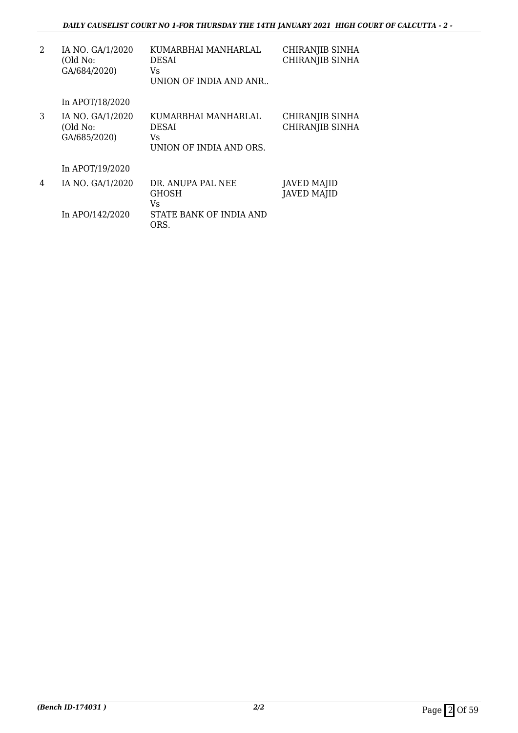| 2 | IA NO. GA/1/2020<br>(Old No:<br>GA/684/2020) | KUMARBHAI MANHARLAL<br>DESAI<br>Vs<br>UNION OF INDIA AND ANR  | CHIRANJIB SINHA<br>CHIRANJIB SINHA        |
|---|----------------------------------------------|---------------------------------------------------------------|-------------------------------------------|
|   | In APOT/18/2020                              |                                                               |                                           |
| 3 | IA NO. GA/1/2020<br>(Old No:<br>GA/685/2020) | KUMARBHAI MANHARLAL<br>DESAI<br>Vs<br>UNION OF INDIA AND ORS. | CHIRANJIB SINHA<br><b>CHIRANJIB SINHA</b> |
|   | In APOT/19/2020                              |                                                               |                                           |
| 4 | IA NO. GA/1/2020                             | DR. ANUPA PAL NEE<br><b>GHOSH</b><br>Vs                       | <b>JAVED MAJID</b><br><b>JAVED MAJID</b>  |
|   | In APO/142/2020                              | STATE BANK OF INDIA AND<br>ORS.                               |                                           |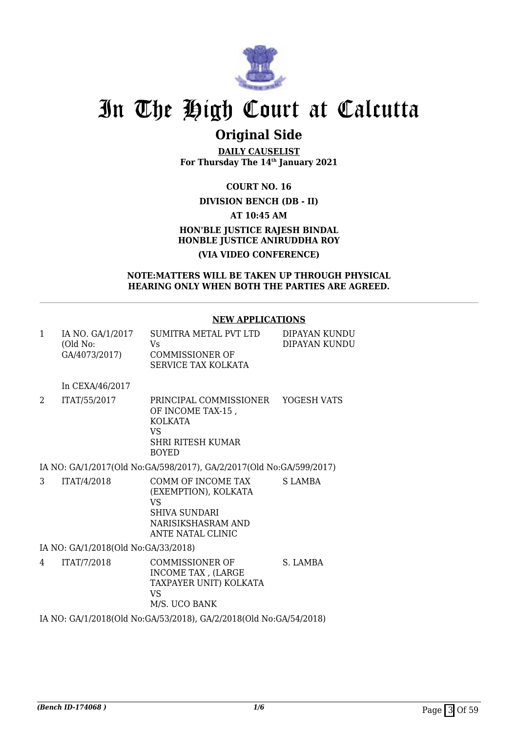

## **Original Side**

**DAILY CAUSELIST For Thursday The 14th January 2021**

**COURT NO. 16**

## **DIVISION BENCH (DB - II)**

**AT 10:45 AM**

## **HON'BLE JUSTICE RAJESH BINDAL HONBLE JUSTICE ANIRUDDHA ROY (VIA VIDEO CONFERENCE)**

### **NOTE:MATTERS WILL BE TAKEN UP THROUGH PHYSICAL HEARING ONLY WHEN BOTH THE PARTIES ARE AGREED.**

## **NEW APPLICATIONS**

| 1 | IA NO. GA/1/2017<br>(Old No:<br>GA/4073/2017) | SUMITRA METAL PVT LTD<br>Vs.<br><b>COMMISSIONER OF</b><br>SERVICE TAX KOLKATA                                   | DIPAYAN KUNDU<br>DIPAYAN KUNDU |
|---|-----------------------------------------------|-----------------------------------------------------------------------------------------------------------------|--------------------------------|
|   | In CEXA/46/2017                               |                                                                                                                 |                                |
| 2 | ITAT/55/2017                                  | PRINCIPAL COMMISSIONER<br>OF INCOME TAX-15,<br><b>KOLKATA</b><br>VS<br><b>SHRI RITESH KUMAR</b><br><b>BOYED</b> | YOGESH VATS                    |
|   |                                               | IA NO: GA/1/2017(Old No: GA/598/2017), GA/2/2017(Old No: GA/599/2017)                                           |                                |
| 3 | ITAT/4/2018                                   | COMM OF INCOME TAX<br>(EXEMPTION), KOLKATA                                                                      | S LAMBA                        |

VS SHIVA SUNDARI NARISIKSHASRAM AND ANTE NATAL CLINIC

IA NO: GA/1/2018(Old No:GA/33/2018)

4 ITAT/7/2018 COMMISSIONER OF INCOME TAX , (LARGE TAXPAYER UNIT) KOLKATA VS M/S. UCO BANK S. LAMBA

IA NO: GA/1/2018(Old No:GA/53/2018), GA/2/2018(Old No:GA/54/2018)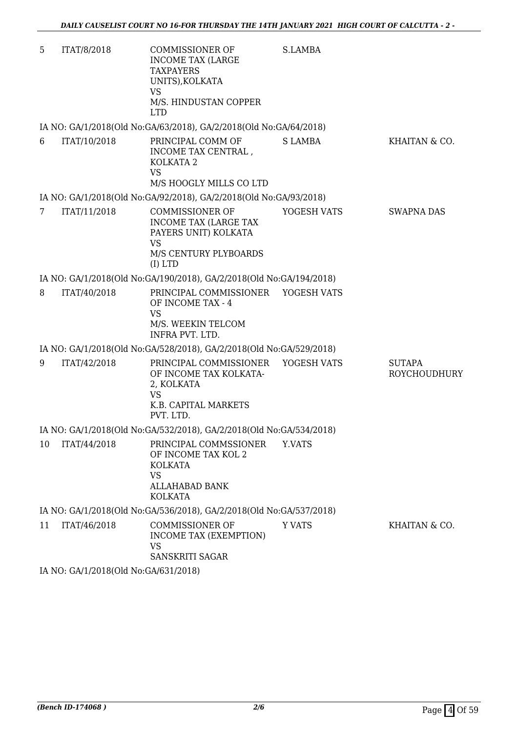| 5               | ITAT/8/2018  | COMMISSIONER OF<br><b>INCOME TAX (LARGE</b><br><b>TAXPAYERS</b><br>UNITS), KOLKATA<br><b>VS</b><br>M/S. HINDUSTAN COPPER   | S.LAMBA        |                                      |
|-----------------|--------------|----------------------------------------------------------------------------------------------------------------------------|----------------|--------------------------------------|
|                 |              | <b>LTD</b><br>IA NO: GA/1/2018(Old No:GA/63/2018), GA/2/2018(Old No:GA/64/2018)                                            |                |                                      |
| 6               | ITAT/10/2018 | PRINCIPAL COMM OF                                                                                                          | <b>S LAMBA</b> | KHAITAN & CO.                        |
|                 |              | INCOME TAX CENTRAL,<br>KOLKATA 2<br><b>VS</b><br>M/S HOOGLY MILLS CO LTD                                                   |                |                                      |
|                 |              | IA NO: GA/1/2018(Old No:GA/92/2018), GA/2/2018(Old No:GA/93/2018)                                                          |                |                                      |
| $7\overline{ }$ | ITAT/11/2018 | <b>COMMISSIONER OF</b><br>INCOME TAX (LARGE TAX<br>PAYERS UNIT) KOLKATA<br><b>VS</b><br>M/S CENTURY PLYBOARDS<br>$(I)$ LTD | YOGESH VATS    | <b>SWAPNA DAS</b>                    |
|                 |              | IA NO: GA/1/2018(Old No:GA/190/2018), GA/2/2018(Old No:GA/194/2018)                                                        |                |                                      |
| 8               | ITAT/40/2018 | PRINCIPAL COMMISSIONER YOGESH VATS<br>OF INCOME TAX - 4<br><b>VS</b><br>M/S. WEEKIN TELCOM<br>INFRA PVT. LTD.              |                |                                      |
|                 |              | IA NO: GA/1/2018(Old No:GA/528/2018), GA/2/2018(Old No:GA/529/2018)                                                        |                |                                      |
| 9               | ITAT/42/2018 | PRINCIPAL COMMISSIONER<br>OF INCOME TAX KOLKATA-<br>2, KOLKATA<br><b>VS</b><br>K.B. CAPITAL MARKETS<br>PVT. LTD.           | YOGESH VATS    | <b>SUTAPA</b><br><b>ROYCHOUDHURY</b> |
|                 |              | IA NO: GA/1/2018(Old No:GA/532/2018), GA/2/2018(Old No:GA/534/2018)                                                        |                |                                      |
| 10              | ITAT/44/2018 | PRINCIPAL COMMSSIONER<br>OF INCOME TAX KOL 2<br><b>KOLKATA</b><br>VS<br>ALLAHABAD BANK<br><b>KOLKATA</b>                   | Y.VATS         |                                      |
|                 |              | IA NO: GA/1/2018(Old No:GA/536/2018), GA/2/2018(Old No:GA/537/2018)                                                        |                |                                      |
| 11              | ITAT/46/2018 | <b>COMMISSIONER OF</b><br><b>INCOME TAX (EXEMPTION)</b><br><b>VS</b><br>SANSKRITI SAGAR                                    | <b>Y VATS</b>  | KHAITAN & CO.                        |
|                 |              |                                                                                                                            |                |                                      |

IA NO: GA/1/2018(Old No:GA/631/2018)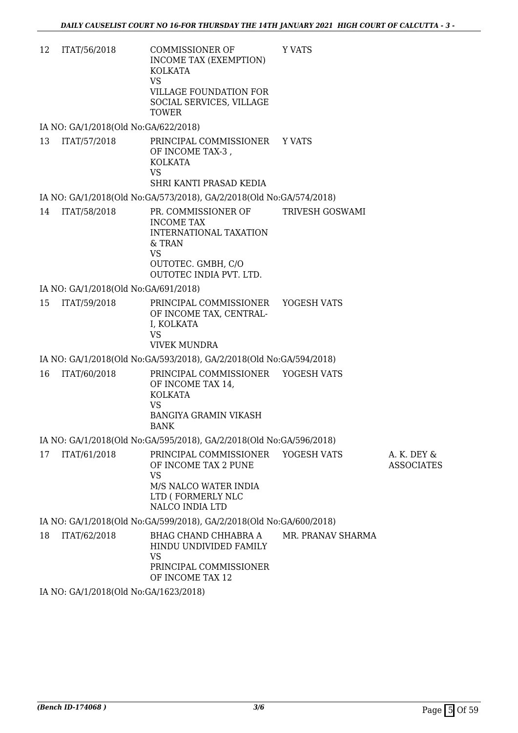12 ITAT/56/2018 COMMISSIONER OF INCOME TAX (EXEMPTION) KOLKATA VS VILLAGE FOUNDATION FOR SOCIAL SERVICES, VILLAGE TOWER Y VATS

IA NO: GA/1/2018(Old No:GA/622/2018)

- 13 ITAT/57/2018 PRINCIPAL COMMISSIONER OF INCOME TAX-3 , KOLKATA VS SHRI KANTI PRASAD KEDIA Y VATS
- IA NO: GA/1/2018(Old No:GA/573/2018), GA/2/2018(Old No:GA/574/2018)
- 14 ITAT/58/2018 PR. COMMISSIONER OF INCOME TAX INTERNATIONAL TAXATION & TRAN VS OUTOTEC. GMBH, C/O OUTOTEC INDIA PVT. LTD. TRIVESH GOSWAMI

IA NO: GA/1/2018(Old No:GA/691/2018)

15 ITAT/59/2018 PRINCIPAL COMMISSIONER OF INCOME TAX, CENTRAL-I, KOLKATA VS VIVEK MUNDRA YOGESH VATS

IA NO: GA/1/2018(Old No:GA/593/2018), GA/2/2018(Old No:GA/594/2018)

16 ITAT/60/2018 PRINCIPAL COMMISSIONER OF INCOME TAX 14, KOLKATA VS BANGIYA GRAMIN VIKASH BANK YOGESH VATS

IA NO: GA/1/2018(Old No:GA/595/2018), GA/2/2018(Old No:GA/596/2018)

17 ITAT/61/2018 PRINCIPAL COMMISSIONER OF INCOME TAX 2 PUNE VS M/S NALCO WATER INDIA LTD ( FORMERLY NLC NALCO INDIA LTD YOGESH VATS A. K. DEY & ASSOCIATES

IA NO: GA/1/2018(Old No:GA/599/2018), GA/2/2018(Old No:GA/600/2018)

18 ITAT/62/2018 BHAG CHAND CHHABRA A HINDU UNDIVIDED FAMILY VS PRINCIPAL COMMISSIONER OF INCOME TAX 12 MR. PRANAV SHARMA

IA NO: GA/1/2018(Old No:GA/1623/2018)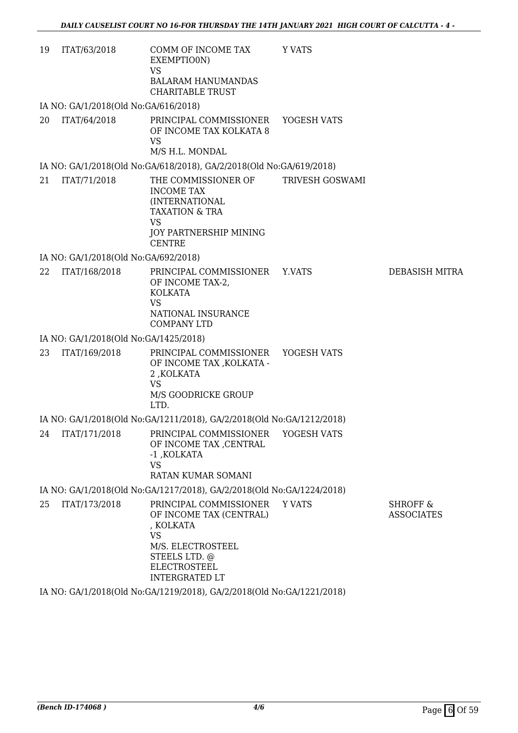| 19 | ITAT/63/2018                          | COMM OF INCOME TAX<br>EXEMPTIO0N)<br><b>VS</b><br><b>BALARAM HANUMANDAS</b><br><b>CHARITABLE TRUST</b>                                                            | Y VATS          |                                          |
|----|---------------------------------------|-------------------------------------------------------------------------------------------------------------------------------------------------------------------|-----------------|------------------------------------------|
|    | IA NO: GA/1/2018(Old No:GA/616/2018)  |                                                                                                                                                                   |                 |                                          |
| 20 | ITAT/64/2018                          | PRINCIPAL COMMISSIONER<br>OF INCOME TAX KOLKATA 8<br><b>VS</b><br>M/S H.L. MONDAL                                                                                 | YOGESH VATS     |                                          |
|    |                                       | IA NO: GA/1/2018(Old No:GA/618/2018), GA/2/2018(Old No:GA/619/2018)                                                                                               |                 |                                          |
| 21 | ITAT/71/2018                          | THE COMMISSIONER OF<br><b>INCOME TAX</b><br>(INTERNATIONAL<br><b>TAXATION &amp; TRA</b><br><b>VS</b><br>JOY PARTNERSHIP MINING<br><b>CENTRE</b>                   | TRIVESH GOSWAMI |                                          |
|    | IA NO: GA/1/2018(Old No:GA/692/2018)  |                                                                                                                                                                   |                 |                                          |
| 22 | ITAT/168/2018                         | PRINCIPAL COMMISSIONER<br>OF INCOME TAX-2,<br><b>KOLKATA</b><br><b>VS</b><br>NATIONAL INSURANCE<br><b>COMPANY LTD</b>                                             | Y.VATS          | <b>DEBASISH MITRA</b>                    |
|    | IA NO: GA/1/2018(Old No:GA/1425/2018) |                                                                                                                                                                   |                 |                                          |
| 23 | ITAT/169/2018                         | PRINCIPAL COMMISSIONER<br>OF INCOME TAX , KOLKATA -<br>2, KOLKATA<br><b>VS</b><br>M/S GOODRICKE GROUP<br>LTD.                                                     | YOGESH VATS     |                                          |
|    |                                       | IA NO: GA/1/2018(Old No:GA/1211/2018), GA/2/2018(Old No:GA/1212/2018)                                                                                             |                 |                                          |
| 24 | ITAT/171/2018                         | PRINCIPAL COMMISSIONER<br>OF INCOME TAX , CENTRAL<br>-1 , KOLKATA<br><b>VS</b><br>RATAN KUMAR SOMANI                                                              | YOGESH VATS     |                                          |
|    |                                       | IA NO: GA/1/2018(Old No:GA/1217/2018), GA/2/2018(Old No:GA/1224/2018)                                                                                             |                 |                                          |
| 25 | ITAT/173/2018                         | PRINCIPAL COMMISSIONER<br>OF INCOME TAX (CENTRAL)<br>, KOLKATA<br><b>VS</b><br>M/S. ELECTROSTEEL<br>STEELS LTD. @<br><b>ELECTROSTEEL</b><br><b>INTERGRATED LT</b> | <b>Y VATS</b>   | <b>SHROFF &amp;</b><br><b>ASSOCIATES</b> |

IA NO: GA/1/2018(Old No:GA/1219/2018), GA/2/2018(Old No:GA/1221/2018)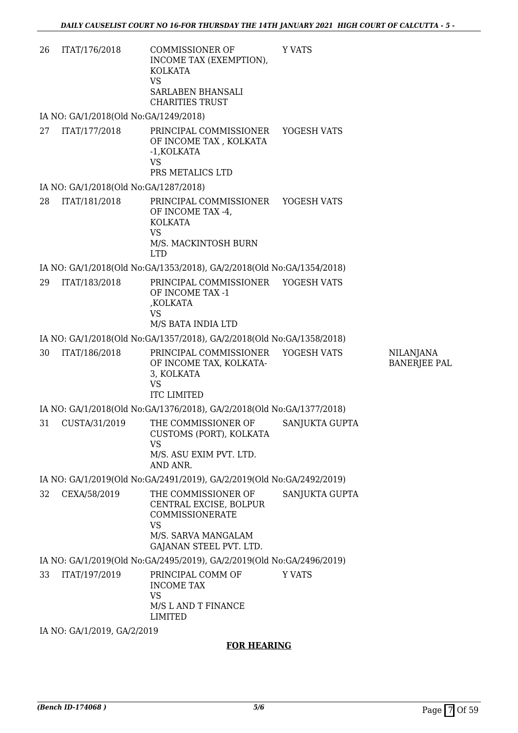| 26 | ITAT/176/2018                         | COMMISSIONER OF<br>INCOME TAX (EXEMPTION),<br>KOLKATA<br>VS<br>SARLABEN BHANSALI<br><b>CHARITIES TRUST</b>               | Y VATS         |                                         |
|----|---------------------------------------|--------------------------------------------------------------------------------------------------------------------------|----------------|-----------------------------------------|
|    | IA NO: GA/1/2018(Old No:GA/1249/2018) |                                                                                                                          |                |                                         |
| 27 | ITAT/177/2018                         | PRINCIPAL COMMISSIONER<br>OF INCOME TAX, KOLKATA<br>-1, KOLKATA<br><b>VS</b><br>PRS METALICS LTD                         | YOGESH VATS    |                                         |
|    | IA NO: GA/1/2018(Old No:GA/1287/2018) |                                                                                                                          |                |                                         |
| 28 | ITAT/181/2018                         | PRINCIPAL COMMISSIONER YOGESH VATS<br>OF INCOME TAX -4,<br>KOLKATA<br><b>VS</b><br>M/S. MACKINTOSH BURN<br><b>LTD</b>    |                |                                         |
|    |                                       | IA NO: GA/1/2018(Old No:GA/1353/2018), GA/2/2018(Old No:GA/1354/2018)                                                    |                |                                         |
| 29 | ITAT/183/2018                         | PRINCIPAL COMMISSIONER YOGESH VATS<br>OF INCOME TAX -1<br>,KOLKATA<br><b>VS</b><br>M/S BATA INDIA LTD                    |                |                                         |
|    |                                       | IA NO: GA/1/2018(Old No:GA/1357/2018), GA/2/2018(Old No:GA/1358/2018)                                                    |                |                                         |
| 30 | ITAT/186/2018                         | PRINCIPAL COMMISSIONER<br>OF INCOME TAX, KOLKATA-<br>3, KOLKATA<br><b>VS</b><br><b>ITC LIMITED</b>                       | YOGESH VATS    | <b>NILANJANA</b><br><b>BANERJEE PAL</b> |
|    |                                       | IA NO: GA/1/2018(Old No:GA/1376/2018), GA/2/2018(Old No:GA/1377/2018)                                                    |                |                                         |
| 31 | CUSTA/31/2019                         | THE COMMISSIONER OF<br>CUSTOMS (PORT), KOLKATA<br><b>VS</b><br>M/S. ASU EXIM PVT. LTD.<br>AND ANR.                       | SANJUKTA GUPTA |                                         |
|    |                                       | IA NO: GA/1/2019(Old No:GA/2491/2019), GA/2/2019(Old No:GA/2492/2019)                                                    |                |                                         |
| 32 | CEXA/58/2019                          | THE COMMISSIONER OF<br>CENTRAL EXCISE, BOLPUR<br>COMMISSIONERATE<br>VS<br>M/S. SARVA MANGALAM<br>GAJANAN STEEL PVT. LTD. | SANJUKTA GUPTA |                                         |
|    |                                       | IA NO: GA/1/2019(Old No:GA/2495/2019), GA/2/2019(Old No:GA/2496/2019)                                                    |                |                                         |
| 33 | ITAT/197/2019                         | PRINCIPAL COMM OF<br><b>INCOME TAX</b><br><b>VS</b><br>M/S L AND T FINANCE<br><b>LIMITED</b>                             | Y VATS         |                                         |
|    | IA NO: GA/1/2019, GA/2/2019           |                                                                                                                          |                |                                         |

## **FOR HEARING**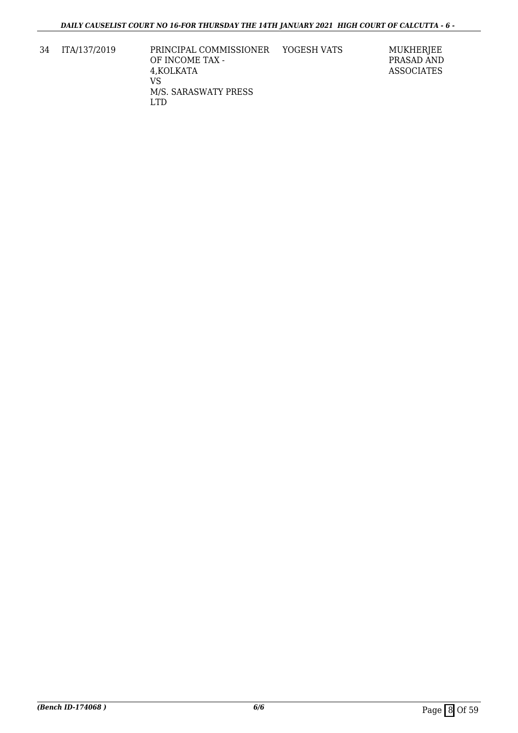34 ITA/137/2019 PRINCIPAL COMMISSIONER OF INCOME TAX - 4,KOLKATA VS M/S. SARASWATY PRESS LTD

YOGESH VATS MUKHERJEE PRASAD AND ASSOCIATES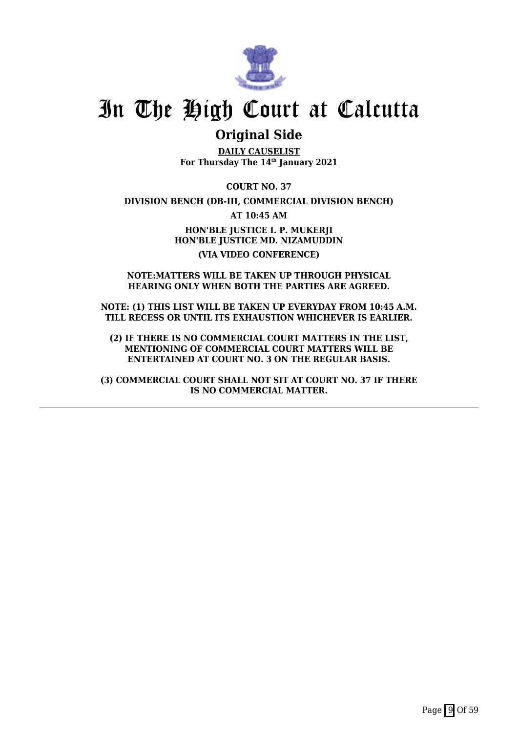

## **Original Side**

**DAILY CAUSELIST For Thursday The 14th January 2021**

**COURT NO. 37**

**DIVISION BENCH (DB-III, COMMERCIAL DIVISION BENCH)**

**AT 10:45 AM**

**HON'BLE JUSTICE I. P. MUKERJI HON'BLE JUSTICE MD. NIZAMUDDIN (VIA VIDEO CONFERENCE)**

### **NOTE:MATTERS WILL BE TAKEN UP THROUGH PHYSICAL HEARING ONLY WHEN BOTH THE PARTIES ARE AGREED.**

**NOTE: (1) THIS LIST WILL BE TAKEN UP EVERYDAY FROM 10:45 A.M. TILL RECESS OR UNTIL ITS EXHAUSTION WHICHEVER IS EARLIER.**

**(2) IF THERE IS NO COMMERCIAL COURT MATTERS IN THE LIST, MENTIONING OF COMMERCIAL COURT MATTERS WILL BE ENTERTAINED AT COURT NO. 3 ON THE REGULAR BASIS.**

**(3) COMMERCIAL COURT SHALL NOT SIT AT COURT NO. 37 IF THERE IS NO COMMERCIAL MATTER.**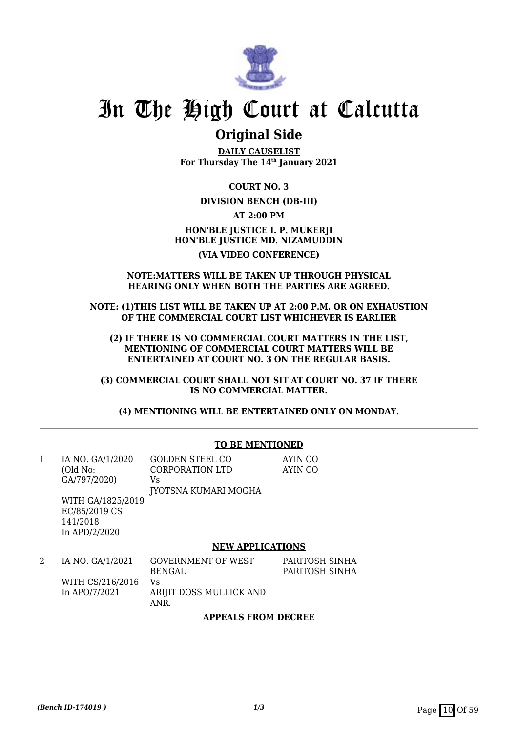

## **Original Side**

**DAILY CAUSELIST For Thursday The 14th January 2021**

**COURT NO. 3**

## **DIVISION BENCH (DB-III)**

**AT 2:00 PM**

## **HON'BLE JUSTICE I. P. MUKERJI HON'BLE JUSTICE MD. NIZAMUDDIN (VIA VIDEO CONFERENCE)**

### **NOTE:MATTERS WILL BE TAKEN UP THROUGH PHYSICAL HEARING ONLY WHEN BOTH THE PARTIES ARE AGREED.**

**NOTE: (1)THIS LIST WILL BE TAKEN UP AT 2:00 P.M. OR ON EXHAUSTION OF THE COMMERCIAL COURT LIST WHICHEVER IS EARLIER**

**(2) IF THERE IS NO COMMERCIAL COURT MATTERS IN THE LIST, MENTIONING OF COMMERCIAL COURT MATTERS WILL BE ENTERTAINED AT COURT NO. 3 ON THE REGULAR BASIS.**

**(3) COMMERCIAL COURT SHALL NOT SIT AT COURT NO. 37 IF THERE IS NO COMMERCIAL MATTER.**

**(4) MENTIONING WILL BE ENTERTAINED ONLY ON MONDAY.**

|   |                                                                                                                 | <b>TO BE MENTIONED</b>                                                              |                                  |
|---|-----------------------------------------------------------------------------------------------------------------|-------------------------------------------------------------------------------------|----------------------------------|
| 1 | IA NO. GA/1/2020<br>(Old No:<br>GA/797/2020)<br>WITH GA/1825/2019<br>EC/85/2019 CS<br>141/2018<br>In APD/2/2020 | <b>GOLDEN STEEL CO</b><br>CORPORATION LTD<br>Vs.<br>JYOTSNA KUMARI MOGHA            | AYIN CO<br>AYIN CO               |
|   |                                                                                                                 | <b>NEW APPLICATIONS</b>                                                             |                                  |
| 2 | IA NO. GA/1/2021<br>WITH CS/216/2016<br>In APO/7/2021                                                           | <b>GOVERNMENT OF WEST</b><br><b>BENGAL</b><br>Vs<br>ARIJIT DOSS MULLICK AND<br>ANR. | PARITOSH SINHA<br>PARITOSH SINHA |
|   |                                                                                                                 | <b>APPEALS FROM DECREE</b>                                                          |                                  |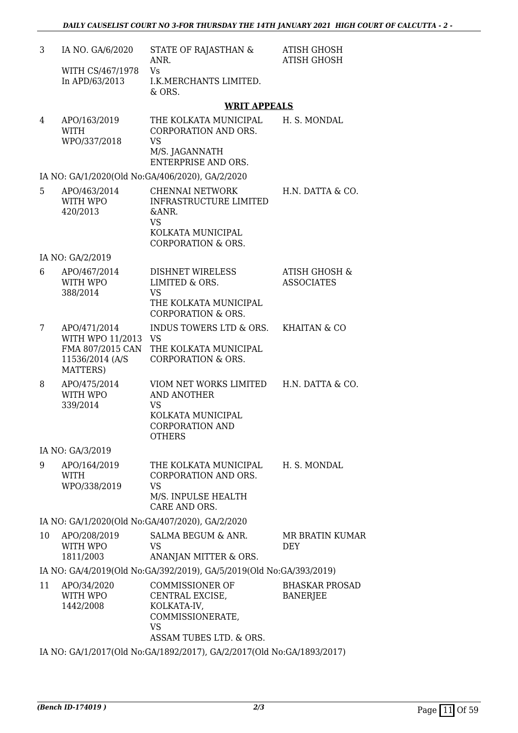| 3  | IA NO. GA/6/2020<br>WITH CS/467/1978<br>In APD/63/2013             | STATE OF RAJASTHAN &<br>ANR.<br>Vs<br>I.K.MERCHANTS LIMITED.<br>& ORS.                                                | <b>ATISH GHOSH</b><br><b>ATISH GHOSH</b>      |
|----|--------------------------------------------------------------------|-----------------------------------------------------------------------------------------------------------------------|-----------------------------------------------|
|    |                                                                    | <b>WRIT APPEALS</b>                                                                                                   |                                               |
| 4  | APO/163/2019<br><b>WITH</b><br>WPO/337/2018                        | THE KOLKATA MUNICIPAL<br>CORPORATION AND ORS.<br><b>VS</b><br>M/S. JAGANNATH<br>ENTERPRISE AND ORS.                   | H. S. MONDAL                                  |
|    |                                                                    | IA NO: GA/1/2020(Old No:GA/406/2020), GA/2/2020                                                                       |                                               |
| 5  | APO/463/2014<br>WITH WPO<br>420/2013                               | CHENNAI NETWORK<br>INFRASTRUCTURE LIMITED<br>&ANR.<br><b>VS</b><br>KOLKATA MUNICIPAL<br><b>CORPORATION &amp; ORS.</b> | H.N. DATTA & CO.                              |
|    | IA NO: GA/2/2019                                                   |                                                                                                                       |                                               |
| 6  | APO/467/2014<br>WITH WPO<br>388/2014                               | DISHNET WIRELESS<br>LIMITED & ORS.<br><b>VS</b><br>THE KOLKATA MUNICIPAL<br><b>CORPORATION &amp; ORS.</b>             | <b>ATISH GHOSH &amp;</b><br><b>ASSOCIATES</b> |
| 7  | APO/471/2014<br>WITH WPO 11/2013 VS<br>11536/2014 (A/S<br>MATTERS) | INDUS TOWERS LTD & ORS.<br>FMA 807/2015 CAN THE KOLKATA MUNICIPAL<br><b>CORPORATION &amp; ORS.</b>                    | <b>KHAITAN &amp; CO</b>                       |
| 8  | APO/475/2014<br>WITH WPO<br>339/2014                               | VIOM NET WORKS LIMITED<br><b>AND ANOTHER</b><br>VS<br>KOLKATA MUNICIPAL<br><b>CORPORATION AND</b><br><b>OTHERS</b>    | H.N. DATTA & CO.                              |
|    | IA NO: GA/3/2019                                                   |                                                                                                                       |                                               |
| 9  | APO/164/2019<br><b>WITH</b><br>WPO/338/2019                        | THE KOLKATA MUNICIPAL<br>CORPORATION AND ORS.<br><b>VS</b><br>M/S. INPULSE HEALTH<br>CARE AND ORS.                    | H. S. MONDAL                                  |
|    |                                                                    | IA NO: GA/1/2020(Old No:GA/407/2020), GA/2/2020                                                                       |                                               |
| 10 | APO/208/2019<br>WITH WPO<br>1811/2003                              | SALMA BEGUM & ANR.<br>VS<br>ANANJAN MITTER & ORS.                                                                     | <b>MR BRATIN KUMAR</b><br><b>DEY</b>          |
|    |                                                                    | IA NO: GA/4/2019(Old No:GA/392/2019), GA/5/2019(Old No:GA/393/2019)                                                   |                                               |
| 11 | APO/34/2020<br>WITH WPO<br>1442/2008                               | <b>COMMISSIONER OF</b><br>CENTRAL EXCISE,<br>KOLKATA-IV,<br>COMMISSIONERATE,<br><b>VS</b><br>ASSAM TUBES LTD. & ORS.  | <b>BHASKAR PROSAD</b><br><b>BANERJEE</b>      |

IA NO: GA/1/2017(Old No:GA/1892/2017), GA/2/2017(Old No:GA/1893/2017)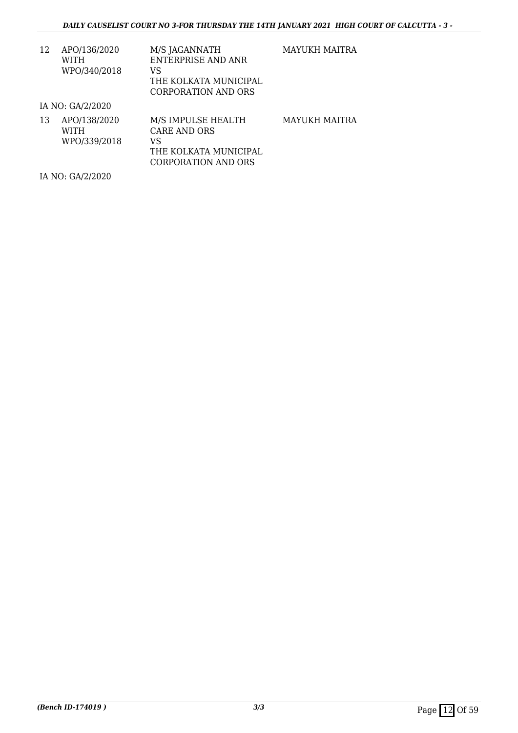| 12 | APO/136/2020 | M/S JAGANNATH         |
|----|--------------|-----------------------|
|    | WITH         | ENTERPRISE AND ANR    |
|    | WPO/340/2018 | VS.                   |
|    |              | THE KOLKATA MUNICIPAL |
|    |              | CORPORATION AND ORS   |

MAYUKH MAITRA

IA NO: GA/2/2020

| 13 | APO/138/2020 | M/S IMPULSE HEALTH    | MAYUKH MAITRA |
|----|--------------|-----------------------|---------------|
|    | <b>WITH</b>  | CARE AND ORS          |               |
|    | WPO/339/2018 | VS                    |               |
|    |              | THE KOLKATA MUNICIPAL |               |
|    |              | CORPORATION AND ORS   |               |

IA NO: GA/2/2020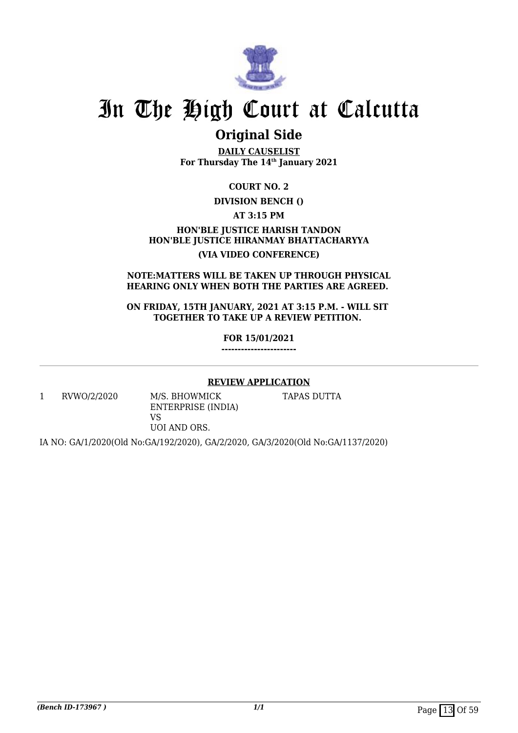

## **Original Side**

**DAILY CAUSELIST For Thursday The 14th January 2021**

**COURT NO. 2**

## **DIVISION BENCH ()**

**AT 3:15 PM**

## **HON'BLE JUSTICE HARISH TANDON HON'BLE JUSTICE HIRANMAY BHATTACHARYYA (VIA VIDEO CONFERENCE)**

### **NOTE:MATTERS WILL BE TAKEN UP THROUGH PHYSICAL HEARING ONLY WHEN BOTH THE PARTIES ARE AGREED.**

**ON FRIDAY, 15TH JANUARY, 2021 AT 3:15 P.M. - WILL SIT TOGETHER TO TAKE UP A REVIEW PETITION.** 

> **FOR 15/01/2021 -----------------------**

## **REVIEW APPLICATION**

1 RVWO/2/2020 M/S. BHOWMICK

ENTERPRISE (INDIA) VS

TAPAS DUTTA

UOI AND ORS.

IA NO: GA/1/2020(Old No:GA/192/2020), GA/2/2020, GA/3/2020(Old No:GA/1137/2020)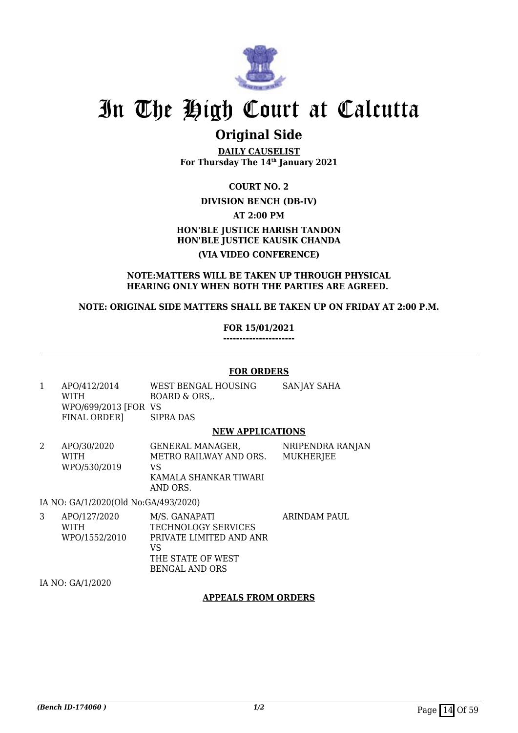

## **Original Side**

**DAILY CAUSELIST For Thursday The 14th January 2021**

**COURT NO. 2**

## **DIVISION BENCH (DB-IV)**

**AT 2:00 PM**

## **HON'BLE JUSTICE HARISH TANDON HON'BLE JUSTICE KAUSIK CHANDA (VIA VIDEO CONFERENCE)**

## **NOTE:MATTERS WILL BE TAKEN UP THROUGH PHYSICAL HEARING ONLY WHEN BOTH THE PARTIES ARE AGREED.**

## **NOTE: ORIGINAL SIDE MATTERS SHALL BE TAKEN UP ON FRIDAY AT 2:00 P.M.**

## **FOR 15/01/2021**

**----------------------**

### **FOR ORDERS**

1 APO/412/2014 WITH WPO/699/2013 [FOR VS FINAL ORDER] WEST BENGAL HOUSING BOARD & ORS,. SIPRA DAS SANJAY SAHA

### **NEW APPLICATIONS**

2 APO/30/2020 WITH WPO/530/2019 GENERAL MANAGER, METRO RAILWAY AND ORS. VS KAMALA SHANKAR TIWARI AND ORS. NRIPENDRA RANJAN MUKHERJEE

IA NO: GA/1/2020(Old No:GA/493/2020)

3 APO/127/2020 WITH WPO/1552/2010 M/S. GANAPATI TECHNOLOGY SERVICES PRIVATE LIMITED AND ANR VS THE STATE OF WEST BENGAL AND ORS ARINDAM PAUL

IA NO: GA/1/2020

## **APPEALS FROM ORDERS**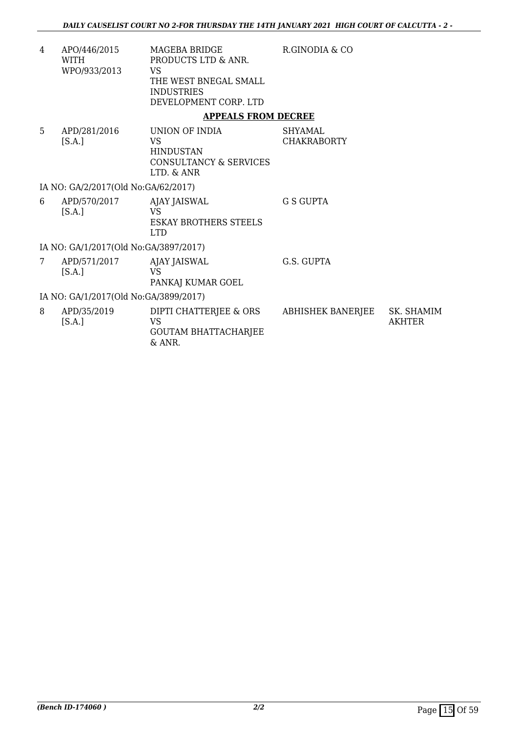R.GINODIA & CO

4 APO/446/2015 WITH WPO/933/2013 MAGEBA BRIDGE PRODUCTS LTD & ANR. VS THE WEST BNEGAL SMALL INDUSTRIES DEVELOPMENT CORP. LTD

## **APPEALS FROM DECREE**

5 APD/281/2016  $[S.A.]$ UNION OF INDIA VS HINDUSTAN CONSULTANCY & SERVICES LTD. & ANR SHYAMAL CHAKRABORTY

IA NO: GA/2/2017(Old No:GA/62/2017)

| 6 | APD/570/2017<br>[S.A.]                                                | AJAY JAISWAL<br>VS<br>ESKAY BROTHERS STEELS<br>I TD | G S GUPTA |
|---|-----------------------------------------------------------------------|-----------------------------------------------------|-----------|
|   | $7.370$ $2.14$ $0.24$ $0.23$ $1.37$ $2.1$ $0.22$ $0.25$ $0.24$ $0.25$ |                                                     |           |

IA NO: GA/1/2017(Old No:GA/3897/2017)

7 APD/571/2017  $[S.A.]$ AJAY JAISWAL VS PANKAJ KUMAR GOEL G.S. GUPTA

IA NO: GA/1/2017(Old No:GA/3899/2017)

| APD/35/2019<br>[S.A.] | DIPTI CHATTERJEE & ORS<br>VS.<br><b>GOUTAM BHATTACHARJEE</b><br>$\&$ ANR. | ABHISHEK BANERJEE | SK. SHAMIM<br>AKHTER |
|-----------------------|---------------------------------------------------------------------------|-------------------|----------------------|
|                       |                                                                           |                   |                      |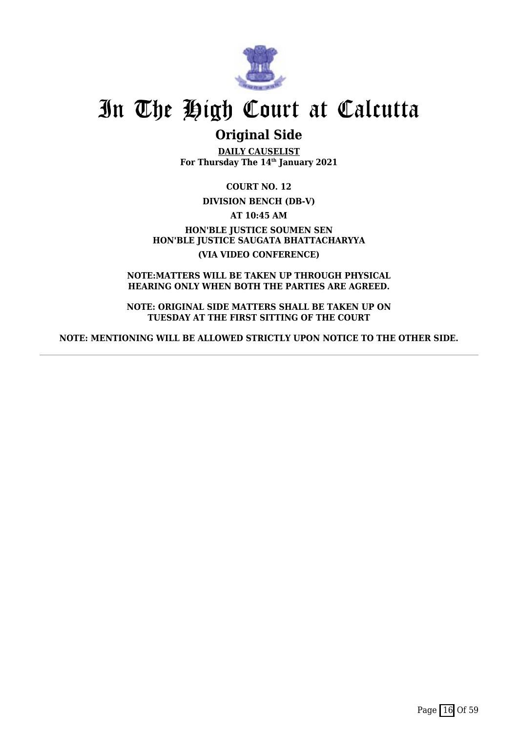

## **Original Side**

**DAILY CAUSELIST For Thursday The 14th January 2021**

**COURT NO. 12**

**DIVISION BENCH (DB-V)**

**AT 10:45 AM**

**HON'BLE JUSTICE SOUMEN SEN HON'BLE JUSTICE SAUGATA BHATTACHARYYA (VIA VIDEO CONFERENCE)**

**NOTE:MATTERS WILL BE TAKEN UP THROUGH PHYSICAL HEARING ONLY WHEN BOTH THE PARTIES ARE AGREED.**

**NOTE: ORIGINAL SIDE MATTERS SHALL BE TAKEN UP ON TUESDAY AT THE FIRST SITTING OF THE COURT**

**NOTE: MENTIONING WILL BE ALLOWED STRICTLY UPON NOTICE TO THE OTHER SIDE.**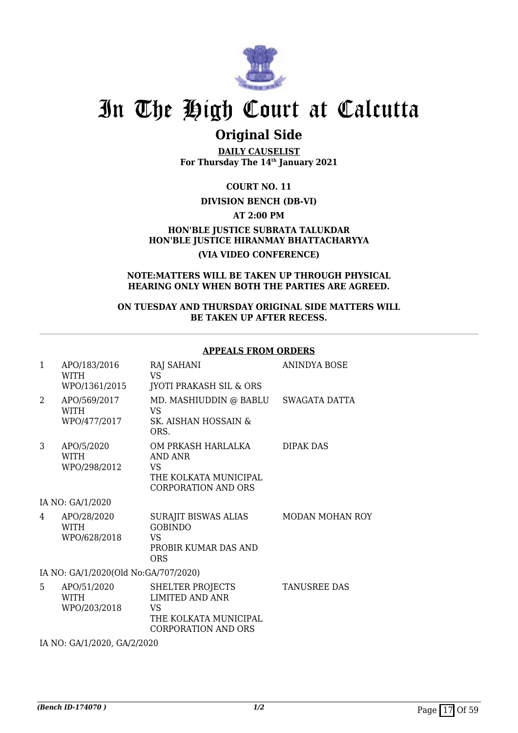

## **Original Side**

**DAILY CAUSELIST For Thursday The 14th January 2021**

**COURT NO. 11**

## **DIVISION BENCH (DB-VI)**

**AT 2:00 PM**

**HON'BLE JUSTICE SUBRATA TALUKDAR HON'BLE JUSTICE HIRANMAY BHATTACHARYYA (VIA VIDEO CONFERENCE)**

#### **NOTE:MATTERS WILL BE TAKEN UP THROUGH PHYSICAL HEARING ONLY WHEN BOTH THE PARTIES ARE AGREED.**

### **ON TUESDAY AND THURSDAY ORIGINAL SIDE MATTERS WILL BE TAKEN UP AFTER RECESS.**

### **APPEALS FROM ORDERS**

| $\mathbf{1}$   | APO/183/2016<br>WITH<br>WPO/1361/2015       | RAJ SAHANI<br>VS.<br><b>JYOTI PRAKASH SIL &amp; ORS</b>                                                 | <b>ANINDYA BOSE</b>    |
|----------------|---------------------------------------------|---------------------------------------------------------------------------------------------------------|------------------------|
| $\overline{2}$ | APO/569/2017<br><b>WITH</b><br>WPO/477/2017 | MD. MASHIUDDIN @ BABLU<br>VS<br>SK. AISHAN HOSSAIN &<br>ORS.                                            | SWAGATA DATTA          |
| 3              | APO/5/2020<br><b>WITH</b><br>WPO/298/2012   | OM PRKASH HARLALKA<br>AND ANR<br>VS<br>THE KOLKATA MUNICIPAL<br><b>CORPORATION AND ORS</b>              | DIPAK DAS              |
|                | IA NO: GA/1/2020                            |                                                                                                         |                        |
| 4              | APO/28/2020<br><b>WITH</b><br>WPO/628/2018  | <b>SURAJIT BISWAS ALIAS</b><br><b>GOBINDO</b><br>VS<br>PROBIR KUMAR DAS AND<br><b>ORS</b>               | <b>MODAN MOHAN ROY</b> |
|                | IA NO: GA/1/2020(Old No:GA/707/2020)        |                                                                                                         |                        |
| 5              | APO/51/2020<br><b>WITH</b><br>WPO/203/2018  | SHELTER PROJECTS<br><b>LIMITED AND ANR</b><br>VS<br>THE KOLKATA MUNICIPAL<br><b>CORPORATION AND ORS</b> | <b>TANUSREE DAS</b>    |
|                | IA NO: GA/1/2020, GA/2/2020                 |                                                                                                         |                        |
|                |                                             |                                                                                                         |                        |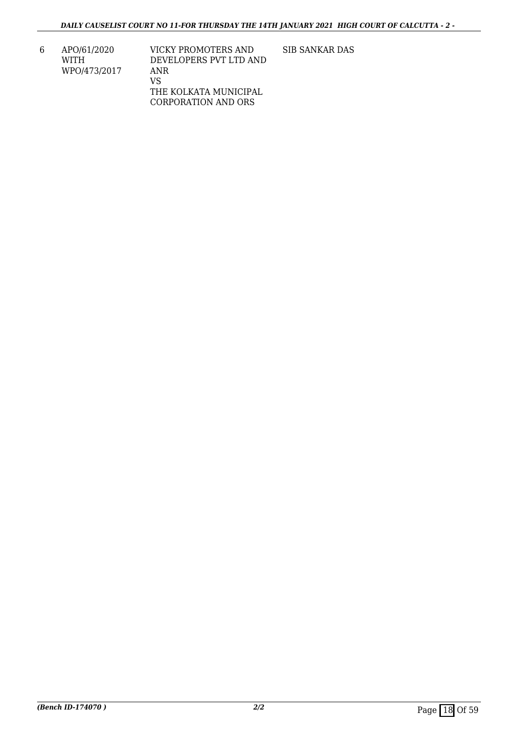6 APO/61/2020 WITH WPO/473/2017

VICKY PROMOTERS AND DEVELOPERS PVT LTD AND ANR VS THE KOLKATA MUNICIPAL CORPORATION AND ORS

SIB SANKAR DAS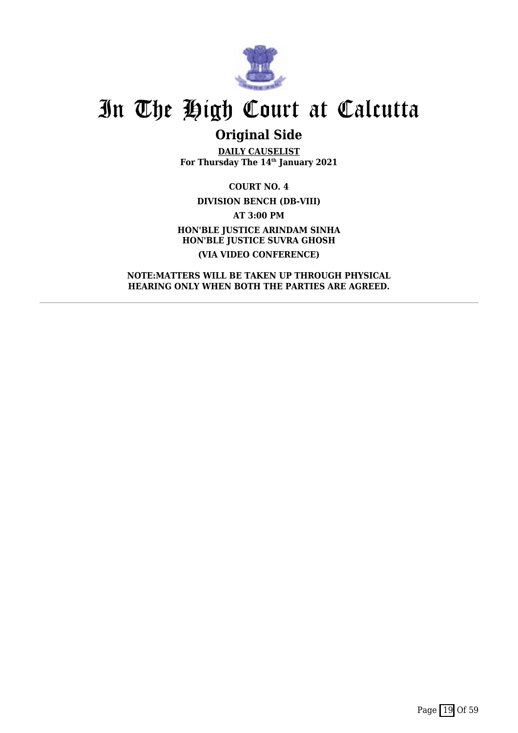

## **Original Side**

**DAILY CAUSELIST For Thursday The 14th January 2021**

**COURT NO. 4 DIVISION BENCH (DB-VIII) AT 3:00 PM HON'BLE JUSTICE ARINDAM SINHA HON'BLE JUSTICE SUVRA GHOSH (VIA VIDEO CONFERENCE)**

**NOTE:MATTERS WILL BE TAKEN UP THROUGH PHYSICAL HEARING ONLY WHEN BOTH THE PARTIES ARE AGREED.**

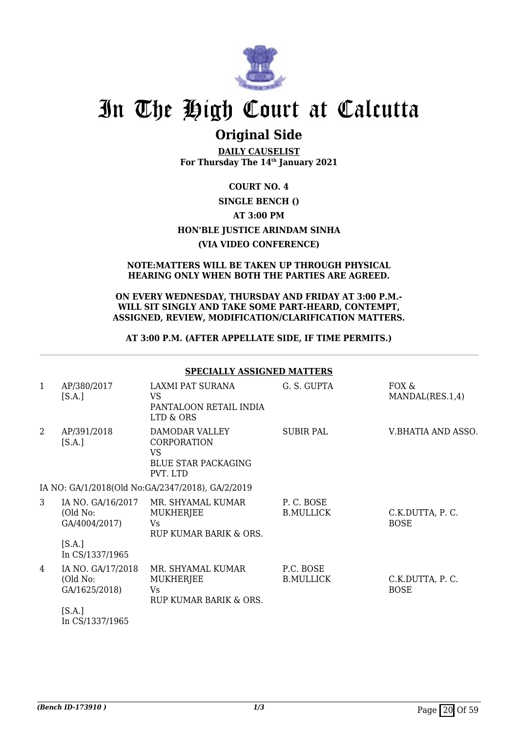

## **Original Side**

**DAILY CAUSELIST For Thursday The 14th January 2021**

## **COURT NO. 4 SINGLE BENCH () AT 3:00 PM HON'BLE JUSTICE ARINDAM SINHA (VIA VIDEO CONFERENCE)**

### **NOTE:MATTERS WILL BE TAKEN UP THROUGH PHYSICAL HEARING ONLY WHEN BOTH THE PARTIES ARE AGREED.**

#### **ON EVERY WEDNESDAY, THURSDAY AND FRIDAY AT 3:00 P.M.- WILL SIT SINGLY AND TAKE SOME PART-HEARD, CONTEMPT, ASSIGNED, REVIEW, MODIFICATION/CLARIFICATION MATTERS.**

## **AT 3:00 P.M. (AFTER APPELLATE SIDE, IF TIME PERMITS.)**

#### **SPECIALLY ASSIGNED MATTERS** 1 AP/380/2017  $[S.A.]$ LAXMI PAT SURANA VS PANTALOON RETAIL INDIA LTD & ORS G. S. GUPTA FOX & MANDAL(RES.1,4) 2 AP/391/2018  $[S.A.]$ DAMODAR VALLEY CORPORATION VS BLUE STAR PACKAGING PVT. LTD SUBIR PAL V.BHATIA AND ASSO. IA NO: GA/1/2018(Old No:GA/2347/2018), GA/2/2019 3 IA NO. GA/16/2017 (Old No: GA/4004/2017)  $[S.A.]$ In CS/1337/1965 MR. SHYAMAL KUMAR **MUKHERIEE**  $V<sub>c</sub>$ RUP KUMAR BARIK & ORS. P. C. BOSE B.MULLICK C.K.DUTTA, P. C. **BOSE** 4 IA NO. GA/17/2018 (Old No: GA/1625/2018)  $[S.A.]$ In CS/1337/1965 MR. SHYAMAL KUMAR **MUKHERIEE** Vs RUP KUMAR BARIK & ORS. P.C. BOSE B.MULLICK C.K.DUTTA, P. C. **BOSE**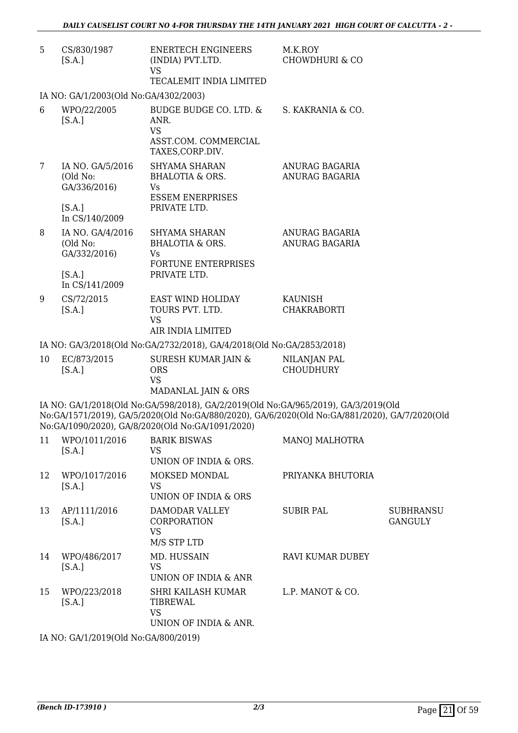| 5              | CS/830/1987<br>[S.A.]                        | <b>ENERTECH ENGINEERS</b><br>(INDIA) PVT.LTD.<br><b>VS</b><br>TECALEMIT INDIA LIMITED                                                                                                                                                   | M.K.ROY<br><b>CHOWDHURI &amp; CO</b> |                                    |
|----------------|----------------------------------------------|-----------------------------------------------------------------------------------------------------------------------------------------------------------------------------------------------------------------------------------------|--------------------------------------|------------------------------------|
|                | IA NO: GA/1/2003(Old No:GA/4302/2003)        |                                                                                                                                                                                                                                         |                                      |                                    |
| 6              | WPO/22/2005<br>[S.A.]                        | BUDGE BUDGE CO. LTD. &<br>ANR.<br><b>VS</b><br>ASST.COM. COMMERCIAL<br>TAXES, CORP.DIV.                                                                                                                                                 | S. KAKRANIA & CO.                    |                                    |
| $\overline{7}$ | IA NO. GA/5/2016<br>(Old No:<br>GA/336/2016) | <b>SHYAMA SHARAN</b><br>BHALOTIA & ORS.<br>Vs<br><b>ESSEM ENERPRISES</b>                                                                                                                                                                | ANURAG BAGARIA<br>ANURAG BAGARIA     |                                    |
|                | [S.A.]<br>In CS/140/2009                     | PRIVATE LTD.                                                                                                                                                                                                                            |                                      |                                    |
| 8              | IA NO. GA/4/2016<br>(Old No:<br>GA/332/2016) | SHYAMA SHARAN<br><b>BHALOTIA &amp; ORS.</b><br>Vs.<br>FORTUNE ENTERPRISES                                                                                                                                                               | ANURAG BAGARIA<br>ANURAG BAGARIA     |                                    |
|                | [S.A.]<br>In CS/141/2009                     | PRIVATE LTD.                                                                                                                                                                                                                            |                                      |                                    |
| 9              | CS/72/2015<br>[S.A.]                         | EAST WIND HOLIDAY<br>TOURS PVT. LTD.<br><b>VS</b>                                                                                                                                                                                       | KAUNISH<br><b>CHAKRABORTI</b>        |                                    |
|                |                                              | AIR INDIA LIMITED                                                                                                                                                                                                                       |                                      |                                    |
|                |                                              | IA NO: GA/3/2018(Old No:GA/2732/2018), GA/4/2018(Old No:GA/2853/2018)                                                                                                                                                                   |                                      |                                    |
| 10             | EC/873/2015<br>[S.A.]                        | SURESH KUMAR JAIN &<br><b>ORS</b><br><b>VS</b><br>MADANLAL JAIN & ORS                                                                                                                                                                   | NILANJAN PAL<br><b>CHOUDHURY</b>     |                                    |
|                |                                              | IA NO: GA/1/2018(Old No:GA/598/2018), GA/2/2019(Old No:GA/965/2019), GA/3/2019(Old<br>No:GA/1571/2019), GA/5/2020(Old No:GA/880/2020), GA/6/2020(Old No:GA/881/2020), GA/7/2020(Old<br>No:GA/1090/2020), GA/8/2020(Old No:GA/1091/2020) |                                      |                                    |
| 11             | WPO/1011/2016<br>[S.A.]                      | <b>BARIK BISWAS</b><br><b>VS</b><br>UNION OF INDIA & ORS.                                                                                                                                                                               | <b>MANOJ MALHOTRA</b>                |                                    |
| 12             | WPO/1017/2016<br>[S.A.]                      | MOKSED MONDAL<br>VS<br>UNION OF INDIA & ORS                                                                                                                                                                                             | PRIYANKA BHUTORIA                    |                                    |
| 13             | AP/1111/2016<br>[S.A.]                       | DAMODAR VALLEY<br>CORPORATION<br><b>VS</b><br>M/S STP LTD                                                                                                                                                                               | <b>SUBIR PAL</b>                     | <b>SUBHRANSU</b><br><b>GANGULY</b> |
| 14             | WPO/486/2017<br>[S.A.]                       | MD. HUSSAIN<br><b>VS</b><br>UNION OF INDIA & ANR                                                                                                                                                                                        | RAVI KUMAR DUBEY                     |                                    |
| 15             | WPO/223/2018<br>[S.A.]                       | SHRI KAILASH KUMAR<br>TIBREWAL<br><b>VS</b><br>UNION OF INDIA & ANR.                                                                                                                                                                    | L.P. MANOT & CO.                     |                                    |

IA NO: GA/1/2019(Old No:GA/800/2019)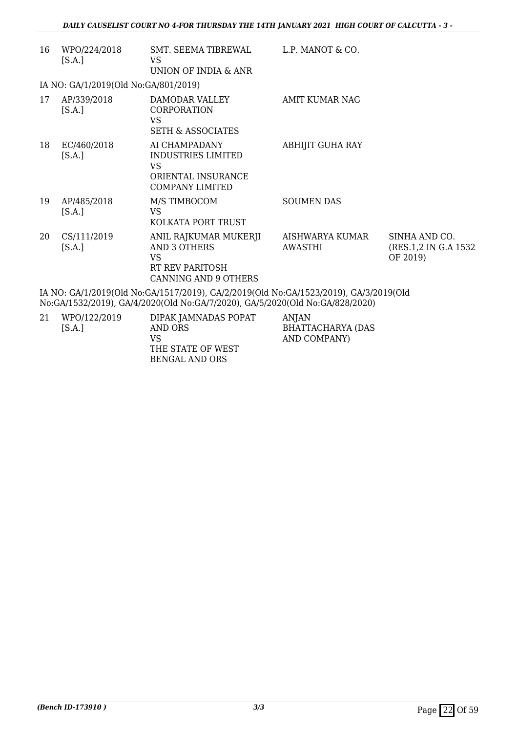| 16 | WPO/224/2018<br>[S.A.]                                                               | SMT. SEEMA TIBREWAL<br>VS<br><b>UNION OF INDIA &amp; ANR</b>                                            | L.P. MANOT & CO.           |                                                    |  |
|----|--------------------------------------------------------------------------------------|---------------------------------------------------------------------------------------------------------|----------------------------|----------------------------------------------------|--|
|    | IA NO: GA/1/2019(Old No:GA/801/2019)                                                 |                                                                                                         |                            |                                                    |  |
| 17 | AP/339/2018<br>[S.A.]                                                                | DAMODAR VALLEY<br><b>CORPORATION</b><br><b>VS</b><br><b>SETH &amp; ASSOCIATES</b>                       | AMIT KUMAR NAG             |                                                    |  |
| 18 | EC/460/2018<br>[S.A.]                                                                | AI CHAMPADANY<br><b>INDUSTRIES LIMITED</b><br><b>VS</b><br>ORIENTAL INSURANCE<br><b>COMPANY LIMITED</b> | <b>ABHIJIT GUHA RAY</b>    |                                                    |  |
| 19 | AP/485/2018<br>[S.A.]                                                                | M/S TIMBOCOM<br><b>VS</b><br>KOLKATA PORT TRUST                                                         | <b>SOUMEN DAS</b>          |                                                    |  |
| 20 | CS/111/2019<br>[S.A.]                                                                | ANIL RAJKUMAR MUKERJI<br><b>AND 3 OTHERS</b><br>VS<br>RT REV PARITOSH<br><b>CANNING AND 9 OTHERS</b>    | AISHWARYA KUMAR<br>AWASTHI | SINHA AND CO.<br>(RES.1,2 IN G.A 1532)<br>OF 2019) |  |
|    | IA NO: GA/1/2019(Old No:GA/1517/2019), GA/2/2019(Old No:GA/1523/2019), GA/3/2019(Old |                                                                                                         |                            |                                                    |  |

No:GA/1532/2019), GA/4/2020(Old No:GA/7/2020), GA/5/2020(Old No:GA/828/2020)

| 21 | WPO/122/2019 | DIPAK JAMNADAS POPAT | ANJAN                    |
|----|--------------|----------------------|--------------------------|
|    | [S.A.]       | AND ORS              | <b>BHATTACHARYA (DAS</b> |
|    |              | VS                   | AND COMPANY)             |
|    |              | THE STATE OF WEST    |                          |
|    |              | BENGAL AND ORS       |                          |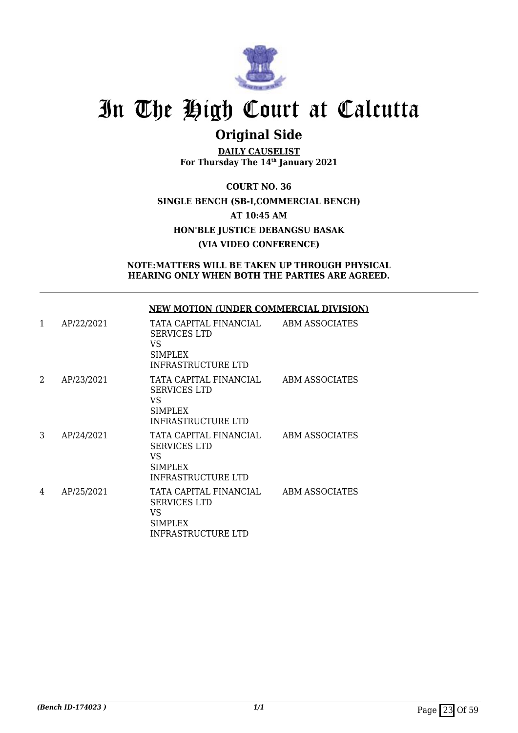

## **Original Side**

**DAILY CAUSELIST For Thursday The 14th January 2021**

**COURT NO. 36 SINGLE BENCH (SB-I,COMMERCIAL BENCH) AT 10:45 AM HON'BLE JUSTICE DEBANGSU BASAK (VIA VIDEO CONFERENCE)**

**NOTE:MATTERS WILL BE TAKEN UP THROUGH PHYSICAL HEARING ONLY WHEN BOTH THE PARTIES ARE AGREED.**

## **NEW MOTION (UNDER COMMERCIAL DIVISION)**

| 1 | AP/22/2021 | TATA CAPITAL FINANCIAL<br><b>SERVICES LTD</b><br>VS<br><b>SIMPLEX</b><br>INFRASTRUCTURE LTD         | ABM ASSOCIATES |
|---|------------|-----------------------------------------------------------------------------------------------------|----------------|
| 2 | AP/23/2021 | TATA CAPITAL FINANCIAL<br><b>SERVICES LTD</b><br>VS.<br><b>SIMPLEX</b><br><b>INFRASTRUCTURE LTD</b> | ABM ASSOCIATES |
| 3 | AP/24/2021 | TATA CAPITAL FINANCIAL<br><b>SERVICES LTD</b><br>VS<br><b>SIMPLEX</b><br><b>INFRASTRUCTURE LTD</b>  | ABM ASSOCIATES |
| 4 | AP/25/2021 | TATA CAPITAL FINANCIAL<br><b>SERVICES LTD</b><br>VS<br><b>SIMPLEX</b><br>INFRASTRUCTURE LTD         | ABM ASSOCIATES |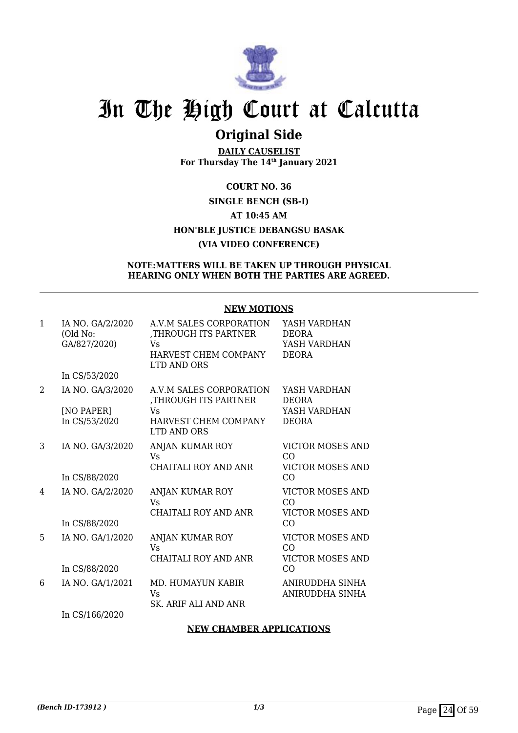

## **Original Side**

**DAILY CAUSELIST For Thursday The 14th January 2021**

## **COURT NO. 36 SINGLE BENCH (SB-I) AT 10:45 AM HON'BLE JUSTICE DEBANGSU BASAK (VIA VIDEO CONFERENCE)**

## **NOTE:MATTERS WILL BE TAKEN UP THROUGH PHYSICAL HEARING ONLY WHEN BOTH THE PARTIES ARE AGREED.**

## **NEW MOTIONS**

| IA NO. GA/2/2020<br>(Old No:<br>GA/827/2020) | A.V.M SALES CORPORATION<br>THROUGH ITS PARTNER,<br>Vs                              | YASH VARDHAN<br><b>DEORA</b><br>YASH VARDHAN |
|----------------------------------------------|------------------------------------------------------------------------------------|----------------------------------------------|
|                                              | HARVEST CHEM COMPANY<br>LTD AND ORS                                                | <b>DEORA</b>                                 |
| In CS/53/2020                                |                                                                                    |                                              |
| IA NO. GA/3/2020                             | A.V.M SALES CORPORATION<br>THROUGH ITS PARTNER,                                    | YASH VARDHAN<br><b>DEORA</b>                 |
| [NO PAPER]                                   | <b>Vs</b>                                                                          | YASH VARDHAN                                 |
|                                              | HARVEST CHEM COMPANY<br>LTD AND ORS                                                | <b>DEORA</b>                                 |
| IA NO. GA/3/2020                             | ANJAN KUMAR ROY<br>Vs                                                              | <b>VICTOR MOSES AND</b><br>CO                |
|                                              | <b>CHAITALI ROY AND ANR</b>                                                        | <b>VICTOR MOSES AND</b>                      |
|                                              |                                                                                    | CO                                           |
| IA NO. GA/2/2020                             | ANJAN KUMAR ROY<br>Vs                                                              | <b>VICTOR MOSES AND</b><br>C <sub>O</sub>    |
|                                              | <b>CHAITALI ROY AND ANR</b>                                                        | <b>VICTOR MOSES AND</b>                      |
|                                              |                                                                                    | CO                                           |
| IA NO. GA/1/2020                             | ANJAN KUMAR ROY<br>Vs                                                              | <b>VICTOR MOSES AND</b><br>C <sub>O</sub>    |
|                                              | CHAITALI ROY AND ANR                                                               | <b>VICTOR MOSES AND</b>                      |
|                                              |                                                                                    | CO                                           |
| IA NO. GA/1/2021                             | MD. HUMAYUN KABIR<br>Vs                                                            | ANIRUDDHA SINHA<br>ANIRUDDHA SINHA           |
|                                              |                                                                                    |                                              |
|                                              | In CS/53/2020<br>In CS/88/2020<br>In CS/88/2020<br>In CS/88/2020<br>In CS/166/2020 | SK. ARIF ALI AND ANR                         |

## **NEW CHAMBER APPLICATIONS**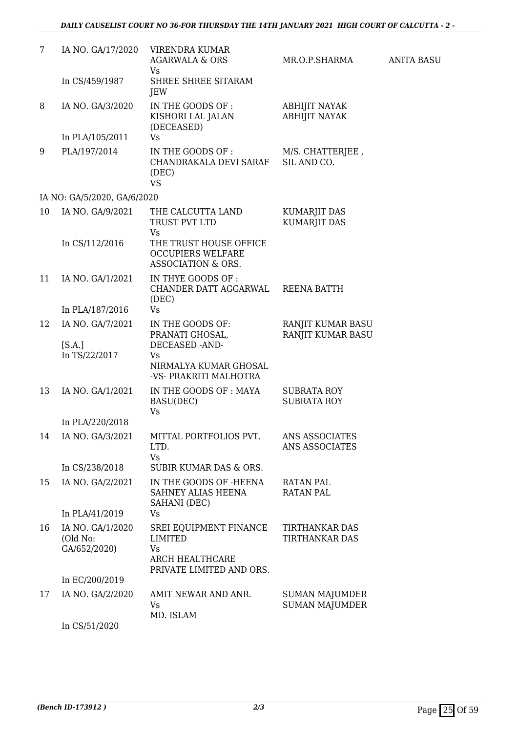| 7  | IA NO. GA/17/2020                            | <b>VIRENDRA KUMAR</b><br><b>AGARWALA &amp; ORS</b>                                            | MR.O.P.SHARMA                                  | <b>ANITA BASU</b> |
|----|----------------------------------------------|-----------------------------------------------------------------------------------------------|------------------------------------------------|-------------------|
|    | In CS/459/1987                               | Vs<br>SHREE SHREE SITARAM<br>JEW                                                              |                                                |                   |
| 8  | IA NO. GA/3/2020                             | IN THE GOODS OF :<br>KISHORI LAL JALAN<br>(DECEASED)                                          | <b>ABHIJIT NAYAK</b><br><b>ABHIJIT NAYAK</b>   |                   |
|    | In PLA/105/2011                              | <b>Vs</b>                                                                                     |                                                |                   |
| 9  | PLA/197/2014                                 | IN THE GOODS OF :<br>CHANDRAKALA DEVI SARAF<br>(DEC)<br><b>VS</b>                             | M/S. CHATTERJEE,<br>SIL AND CO.                |                   |
|    | IA NO: GA/5/2020, GA/6/2020                  |                                                                                               |                                                |                   |
| 10 | IA NO. GA/9/2021                             | THE CALCUTTA LAND<br>TRUST PVT LTD<br>Vs                                                      | <b>KUMARJIT DAS</b><br><b>KUMARJIT DAS</b>     |                   |
|    | In CS/112/2016                               | THE TRUST HOUSE OFFICE<br><b>OCCUPIERS WELFARE</b><br>ASSOCIATION & ORS.                      |                                                |                   |
| 11 | IA NO. GA/1/2021                             | IN THYE GOODS OF :<br>CHANDER DATT AGGARWAL<br>(DEC)                                          | <b>REENA BATTH</b>                             |                   |
|    | In PLA/187/2016                              | <b>Vs</b>                                                                                     |                                                |                   |
| 12 | IA NO. GA/7/2021                             | IN THE GOODS OF:<br>PRANATI GHOSAL,                                                           | RANJIT KUMAR BASU<br>RANJIT KUMAR BASU         |                   |
|    | [S.A.]<br>In TS/22/2017                      | DECEASED -AND-<br>Vs<br>NIRMALYA KUMAR GHOSAL<br>-VS- PRAKRITI MALHOTRA                       |                                                |                   |
| 13 | IA NO. GA/1/2021                             | IN THE GOODS OF : MAYA<br>BASU(DEC)<br>Vs                                                     | <b>SUBRATA ROY</b><br><b>SUBRATA ROY</b>       |                   |
|    | In PLA/220/2018                              |                                                                                               |                                                |                   |
| 14 | IA NO. GA/3/2021                             | MITTAL PORTFOLIOS PVT.<br>LTD.<br><b>Vs</b>                                                   | ANS ASSOCIATES<br><b>ANS ASSOCIATES</b>        |                   |
|    | In CS/238/2018                               | SUBIR KUMAR DAS & ORS.                                                                        |                                                |                   |
| 15 | IA NO. GA/2/2021                             | IN THE GOODS OF -HEENA<br>SAHNEY ALIAS HEENA<br>SAHANI (DEC)                                  | RATAN PAL<br><b>RATAN PAL</b>                  |                   |
|    | In PLA/41/2019                               | Vs                                                                                            |                                                |                   |
| 16 | IA NO. GA/1/2020<br>(Old No:<br>GA/652/2020) | <b>SREI EQUIPMENT FINANCE</b><br>LIMITED<br>Vs<br>ARCH HEALTHCARE<br>PRIVATE LIMITED AND ORS. | <b>TIRTHANKAR DAS</b><br>TIRTHANKAR DAS        |                   |
|    | In EC/200/2019                               |                                                                                               |                                                |                   |
| 17 | IA NO. GA/2/2020                             | AMIT NEWAR AND ANR.<br>Vs<br>MD. ISLAM                                                        | <b>SUMAN MAJUMDER</b><br><b>SUMAN MAJUMDER</b> |                   |
|    | In CS/51/2020                                |                                                                                               |                                                |                   |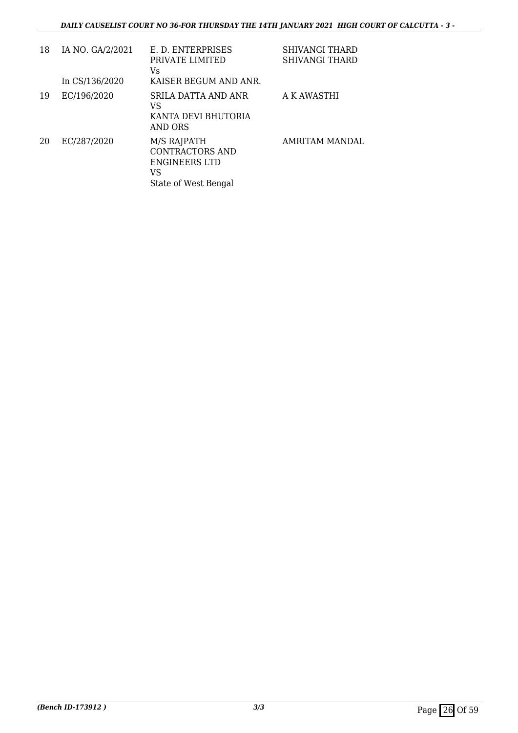| 18 | IA NO. GA/2/2021<br>In CS/136/2020 | E. D. ENTERPRISES<br>PRIVATE LIMITED<br>Vs<br>KAISER BEGUM AND ANR.                  | SHIVANGI THARD<br><b>SHIVANGI THARD</b> |
|----|------------------------------------|--------------------------------------------------------------------------------------|-----------------------------------------|
| 19 | EC/196/2020                        | SRILA DATTA AND ANR<br>VS<br>KANTA DEVI BHUTORIA<br>AND ORS                          | A K AWASTHI                             |
| 20 | EC/287/2020                        | M/S RAJPATH<br>CONTRACTORS AND<br><b>ENGINEERS LTD</b><br>VS<br>State of West Bengal | AMRITAM MANDAL                          |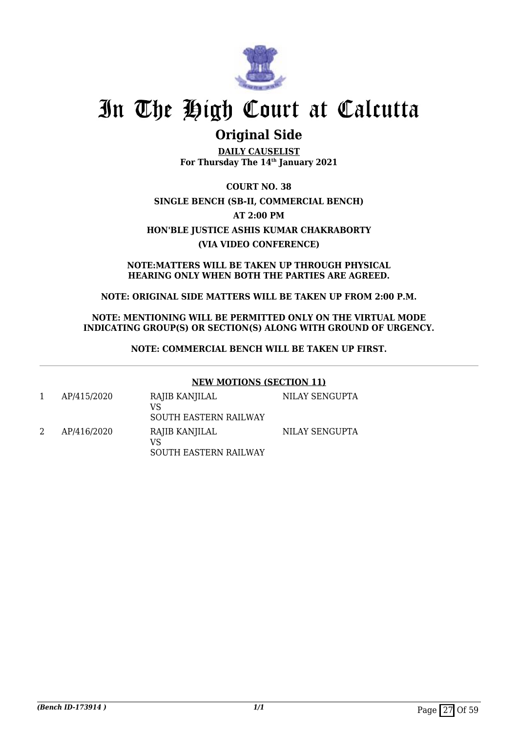

## **Original Side**

**DAILY CAUSELIST For Thursday The 14th January 2021**

**COURT NO. 38 SINGLE BENCH (SB-II, COMMERCIAL BENCH) AT 2:00 PM HON'BLE JUSTICE ASHIS KUMAR CHAKRABORTY (VIA VIDEO CONFERENCE)**

**NOTE:MATTERS WILL BE TAKEN UP THROUGH PHYSICAL HEARING ONLY WHEN BOTH THE PARTIES ARE AGREED.**

**NOTE: ORIGINAL SIDE MATTERS WILL BE TAKEN UP FROM 2:00 P.M.**

**NOTE: MENTIONING WILL BE PERMITTED ONLY ON THE VIRTUAL MODE INDICATING GROUP(S) OR SECTION(S) ALONG WITH GROUND OF URGENCY.**

**NOTE: COMMERCIAL BENCH WILL BE TAKEN UP FIRST.**

## **NEW MOTIONS (SECTION 11)**

1 AP/415/2020 RAJIB KANJILAL VS SOUTH EASTERN RAILWAY NILAY SENGUPTA 2 AP/416/2020 RAJIB KANJILAL VS SOUTH EASTERN RAILWAY NILAY SENGUPTA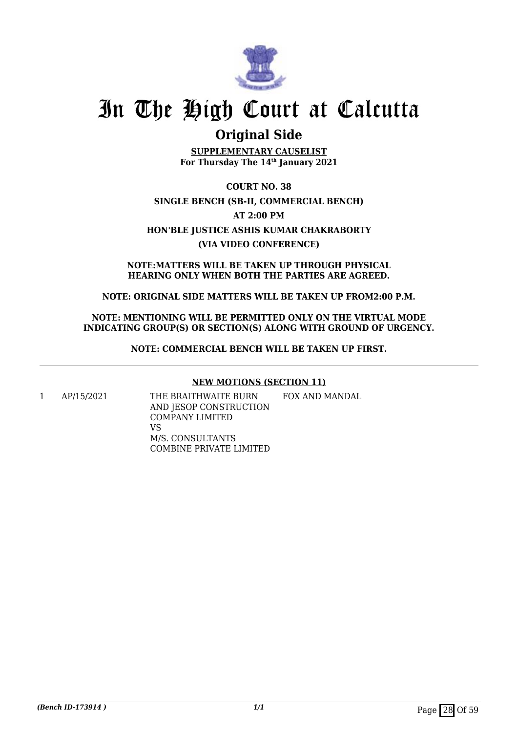

## **Original Side**

**SUPPLEMENTARY CAUSELIST For Thursday The 14th January 2021**

**COURT NO. 38 SINGLE BENCH (SB-II, COMMERCIAL BENCH) AT 2:00 PM HON'BLE JUSTICE ASHIS KUMAR CHAKRABORTY (VIA VIDEO CONFERENCE)**

**NOTE:MATTERS WILL BE TAKEN UP THROUGH PHYSICAL HEARING ONLY WHEN BOTH THE PARTIES ARE AGREED.**

**NOTE: ORIGINAL SIDE MATTERS WILL BE TAKEN UP FROM2:00 P.M.**

**NOTE: MENTIONING WILL BE PERMITTED ONLY ON THE VIRTUAL MODE INDICATING GROUP(S) OR SECTION(S) ALONG WITH GROUND OF URGENCY.**

**NOTE: COMMERCIAL BENCH WILL BE TAKEN UP FIRST.**

## **NEW MOTIONS (SECTION 11)**

1 AP/15/2021 THE BRAITHWAITE BURN AND JESOP CONSTRUCTION COMPANY LIMITED VS M/S. CONSULTANTS COMBINE PRIVATE LIMITED FOX AND MANDAL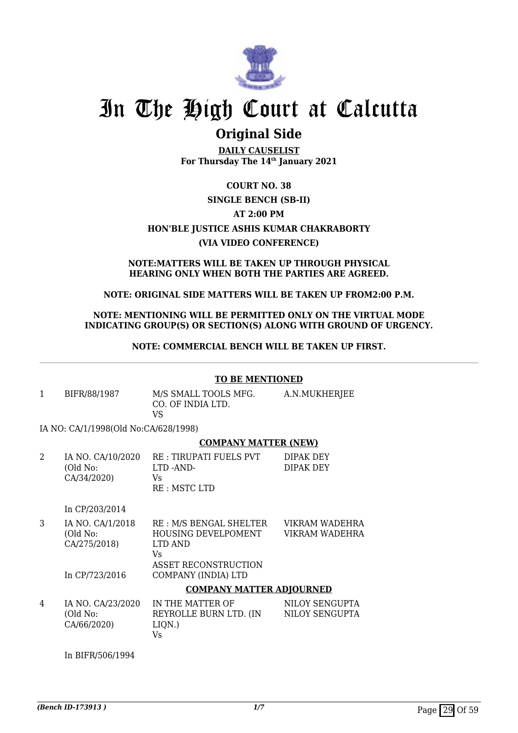

## **Original Side**

**DAILY CAUSELIST For Thursday The 14th January 2021**

## **COURT NO. 38 SINGLE BENCH (SB-II) AT 2:00 PM HON'BLE JUSTICE ASHIS KUMAR CHAKRABORTY (VIA VIDEO CONFERENCE)**

#### **NOTE:MATTERS WILL BE TAKEN UP THROUGH PHYSICAL HEARING ONLY WHEN BOTH THE PARTIES ARE AGREED.**

## **NOTE: ORIGINAL SIDE MATTERS WILL BE TAKEN UP FROM2:00 P.M.**

### **NOTE: MENTIONING WILL BE PERMITTED ONLY ON THE VIRTUAL MODE INDICATING GROUP(S) OR SECTION(S) ALONG WITH GROUND OF URGENCY.**

**NOTE: COMMERCIAL BENCH WILL BE TAKEN UP FIRST.**

## **TO BE MENTIONED**

1 BIFR/88/1987 M/S SMALL TOOLS MFG. CO. OF INDIA LTD. VS A.N.MUKHERJEE

IA NO: CA/1/1998(Old No:CA/628/1998)

## **COMPANY MATTER (NEW)**

| IA NO. CA/10/2020 | RE : TIRUPATI FUELS PVT | DIPAK DEY |
|-------------------|-------------------------|-----------|
| (Old No:          | LTD -AND-               | DIPAK DEY |
| CA/34/2020)       | Vs                      |           |
|                   | RE: MSTC LTD            |           |

In CP/203/2014

| IA NO. CA/1/2018 | RE: M/S BENGAL SHELTER      | VIKRAM WADEHRA |
|------------------|-----------------------------|----------------|
| (Old No:         | HOUSING DEVELPOMENT         | VIKRAM WADEHRA |
| CA/275/2018)     | LTD AND                     |                |
|                  | Vs                          |                |
|                  | ASSET RECONSTRUCTION        |                |
| In CP/723/2016   | COMPANY (INDIA) LTD         |                |
|                  | CONIDINIVIALEMED IDIOIIDIED |                |

### **COMPANY MATTER ADJOURNED**

| 4 | IA NO. CA/23/2020 | IN THE MATTER OF       | NILOY SENGUPTA |
|---|-------------------|------------------------|----------------|
|   | (Old No:          | REYROLLE BURN LTD. (IN | NILOY SENGUPTA |
|   | CA/66/2020)       | LION.)                 |                |
|   |                   | V۹                     |                |

In BIFR/506/1994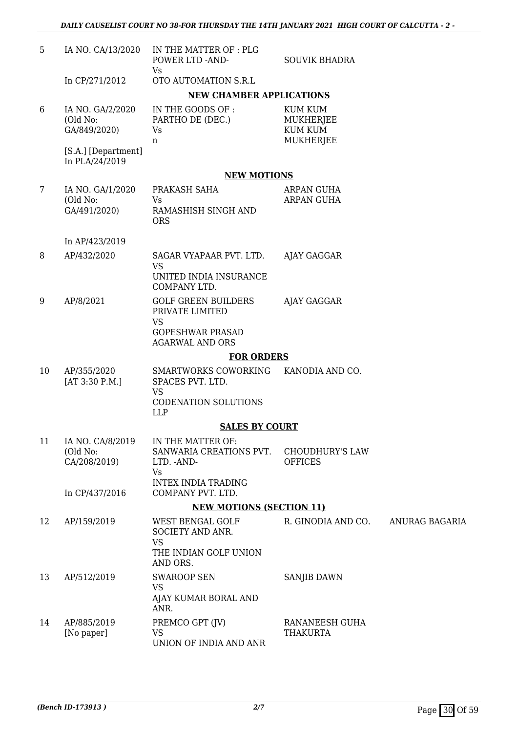| 5              | IA NO. CA/13/2020                            | IN THE MATTER OF : PLG<br>POWER LTD -AND-<br>Vs                                               | <b>SOUVIK BHADRA</b>                                       |                |
|----------------|----------------------------------------------|-----------------------------------------------------------------------------------------------|------------------------------------------------------------|----------------|
|                | In CP/271/2012                               | OTO AUTOMATION S.R.L                                                                          |                                                            |                |
|                |                                              | <b>NEW CHAMBER APPLICATIONS</b>                                                               |                                                            |                |
| 6              | IA NO. GA/2/2020<br>(Old No:<br>GA/849/2020) | IN THE GOODS OF :<br>PARTHO DE (DEC.)<br>Vs<br>n                                              | <b>KUM KUM</b><br>MUKHERJEE<br><b>KUM KUM</b><br>MUKHERJEE |                |
|                | [S.A.] [Department]<br>In PLA/24/2019        |                                                                                               |                                                            |                |
|                |                                              | <b>NEW MOTIONS</b>                                                                            |                                                            |                |
| $7\phantom{.}$ | IA NO. GA/1/2020                             | PRAKASH SAHA                                                                                  | ARPAN GUHA                                                 |                |
|                | (Old No:<br>GA/491/2020)                     | Vs<br>RAMASHISH SINGH AND<br><b>ORS</b>                                                       | ARPAN GUHA                                                 |                |
|                | In AP/423/2019                               |                                                                                               |                                                            |                |
| 8              | AP/432/2020                                  | SAGAR VYAPAAR PVT. LTD.<br><b>VS</b>                                                          | AJAY GAGGAR                                                |                |
|                |                                              | UNITED INDIA INSURANCE<br>COMPANY LTD.                                                        |                                                            |                |
| 9              | AP/8/2021                                    | <b>GOLF GREEN BUILDERS</b><br>PRIVATE LIMITED<br><b>VS</b>                                    | AJAY GAGGAR                                                |                |
|                |                                              | <b>GOPESHWAR PRASAD</b><br><b>AGARWAL AND ORS</b>                                             |                                                            |                |
|                |                                              | <b>FOR ORDERS</b>                                                                             |                                                            |                |
| 10             | AP/355/2020<br>[AT 3:30 P.M.]                | SMARTWORKS COWORKING<br>SPACES PVT. LTD.<br>VS                                                | KANODIA AND CO.                                            |                |
|                |                                              | <b>CODENATION SOLUTIONS</b><br><b>LLP</b>                                                     |                                                            |                |
|                |                                              | <b>SALES BY COURT</b>                                                                         |                                                            |                |
| 11             | IA NO. CA/8/2019<br>(Old No:<br>CA/208/2019) | IN THE MATTER OF:<br>SANWARIA CREATIONS PVT.<br>LTD. - AND-<br>Vs                             | <b>CHOUDHURY'S LAW</b><br><b>OFFICES</b>                   |                |
|                | In CP/437/2016                               | <b>INTEX INDIA TRADING</b><br>COMPANY PVT. LTD.                                               |                                                            |                |
|                |                                              | <b>NEW MOTIONS (SECTION 11)</b>                                                               |                                                            |                |
| 12             | AP/159/2019                                  | <b>WEST BENGAL GOLF</b><br>SOCIETY AND ANR.<br><b>VS</b><br>THE INDIAN GOLF UNION<br>AND ORS. | R. GINODIA AND CO.                                         | ANURAG BAGARIA |
| 13             | AP/512/2019                                  | <b>SWAROOP SEN</b>                                                                            | <b>SANJIB DAWN</b>                                         |                |
|                |                                              | <b>VS</b><br>AJAY KUMAR BORAL AND<br>ANR.                                                     |                                                            |                |
| 14             | AP/885/2019<br>[No paper]                    | PREMCO GPT (JV)<br>VS<br>UNION OF INDIA AND ANR                                               | RANANEESH GUHA<br>THAKURTA                                 |                |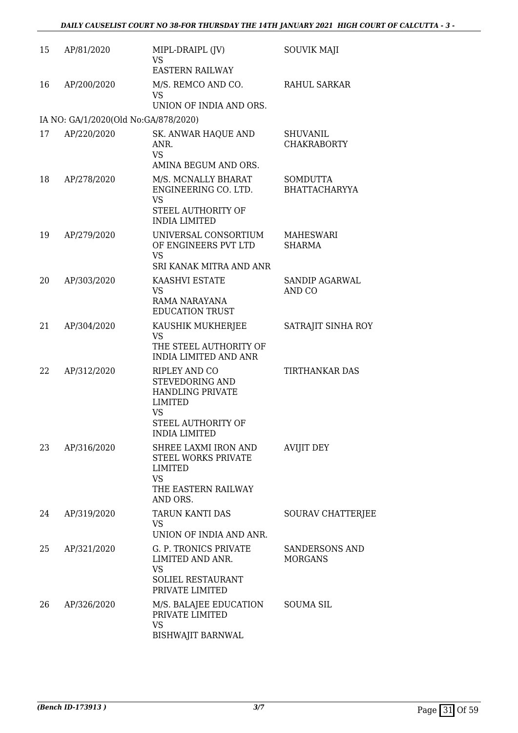| 15 | AP/81/2020                           | MIPL-DRAIPL (JV)<br><b>VS</b><br><b>EASTERN RAILWAY</b>                                                                           | <b>SOUVIK MAJI</b>                      |
|----|--------------------------------------|-----------------------------------------------------------------------------------------------------------------------------------|-----------------------------------------|
| 16 | AP/200/2020                          | M/S. REMCO AND CO.<br><b>VS</b><br>UNION OF INDIA AND ORS.                                                                        | <b>RAHUL SARKAR</b>                     |
|    | IA NO: GA/1/2020(Old No:GA/878/2020) |                                                                                                                                   |                                         |
| 17 | AP/220/2020                          | SK. ANWAR HAQUE AND<br>ANR.<br><b>VS</b><br>AMINA BEGUM AND ORS.                                                                  | <b>SHUVANIL</b><br><b>CHAKRABORTY</b>   |
| 18 | AP/278/2020                          | M/S. MCNALLY BHARAT<br>ENGINEERING CO. LTD.<br><b>VS</b><br>STEEL AUTHORITY OF<br><b>INDIA LIMITED</b>                            | <b>SOMDUTTA</b><br><b>BHATTACHARYYA</b> |
| 19 | AP/279/2020                          | UNIVERSAL CONSORTIUM<br>OF ENGINEERS PVT LTD<br><b>VS</b><br>SRI KANAK MITRA AND ANR                                              | MAHESWARI<br><b>SHARMA</b>              |
| 20 | AP/303/2020                          | <b>KAASHVI ESTATE</b><br><b>VS</b><br>RAMA NARAYANA<br><b>EDUCATION TRUST</b>                                                     | <b>SANDIP AGARWAL</b><br>AND CO         |
| 21 | AP/304/2020                          | KAUSHIK MUKHERJEE<br><b>VS</b><br>THE STEEL AUTHORITY OF<br><b>INDIA LIMITED AND ANR</b>                                          | SATRAJIT SINHA ROY                      |
| 22 | AP/312/2020                          | RIPLEY AND CO<br>STEVEDORING AND<br><b>HANDLING PRIVATE</b><br><b>LIMITED</b><br><b>VS</b><br>STEEL AUTHORITY OF<br>INDIA LIMITED | TIRTHANKAR DAS                          |
| 23 | AP/316/2020                          | SHREE LAXMI IRON AND<br><b>STEEL WORKS PRIVATE</b><br><b>LIMITED</b><br><b>VS</b><br>THE EASTERN RAILWAY<br>AND ORS.              | <b>AVIJIT DEY</b>                       |
| 24 | AP/319/2020                          | TARUN KANTI DAS<br>VS.<br>UNION OF INDIA AND ANR.                                                                                 | SOURAV CHATTERJEE                       |
| 25 | AP/321/2020                          | <b>G. P. TRONICS PRIVATE</b><br>LIMITED AND ANR.<br><b>VS</b><br>SOLIEL RESTAURANT<br>PRIVATE LIMITED                             | SANDERSONS AND<br><b>MORGANS</b>        |
| 26 | AP/326/2020                          | M/S. BALAJEE EDUCATION<br>PRIVATE LIMITED<br><b>VS</b><br><b>BISHWAJIT BARNWAL</b>                                                | <b>SOUMA SIL</b>                        |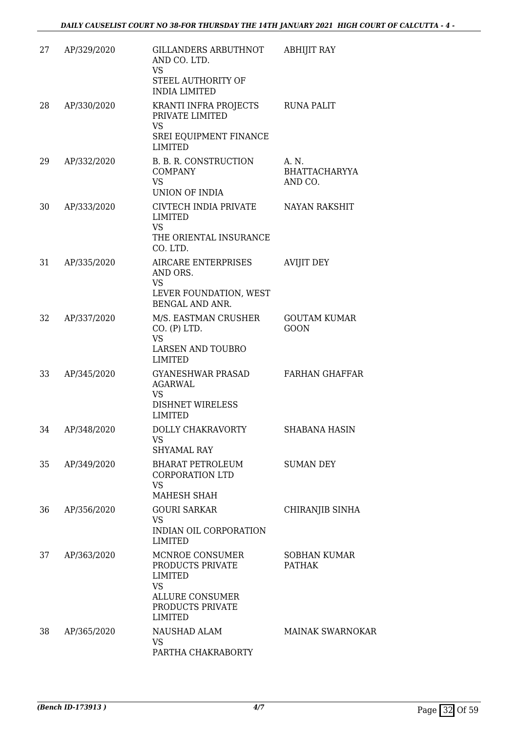| 27 | AP/329/2020 | GILLANDERS ARBUTHNOT<br>AND CO. LTD.<br>VS.<br>STEEL AUTHORITY OF<br><b>INDIA LIMITED</b>                                   | <b>ABHIJIT RAY</b>                       |
|----|-------------|-----------------------------------------------------------------------------------------------------------------------------|------------------------------------------|
| 28 | AP/330/2020 | KRANTI INFRA PROJECTS<br>PRIVATE LIMITED<br><b>VS</b><br>SREI EQUIPMENT FINANCE<br><b>LIMITED</b>                           | <b>RUNA PALIT</b>                        |
| 29 | AP/332/2020 | <b>B. B. R. CONSTRUCTION</b><br><b>COMPANY</b><br><b>VS</b><br>UNION OF INDIA                                               | A. N.<br><b>BHATTACHARYYA</b><br>AND CO. |
| 30 | AP/333/2020 | CIVTECH INDIA PRIVATE<br>LIMITED<br><b>VS</b><br>THE ORIENTAL INSURANCE<br>CO. LTD.                                         | <b>NAYAN RAKSHIT</b>                     |
| 31 | AP/335/2020 | AIRCARE ENTERPRISES<br>AND ORS.<br><b>VS</b><br>LEVER FOUNDATION, WEST<br>BENGAL AND ANR.                                   | <b>AVIJIT DEY</b>                        |
| 32 | AP/337/2020 | M/S. EASTMAN CRUSHER<br>CO. (P) LTD.<br><b>VS</b><br>LARSEN AND TOUBRO<br>LIMITED                                           | <b>GOUTAM KUMAR</b><br><b>GOON</b>       |
| 33 | AP/345/2020 | <b>GYANESHWAR PRASAD</b><br>AGARWAL<br><b>VS</b><br><b>DISHNET WIRELESS</b><br><b>LIMITED</b>                               | <b>FARHAN GHAFFAR</b>                    |
| 34 | AP/348/2020 | DOLLY CHAKRAVORTY<br><b>VS</b><br><b>SHYAMAL RAY</b>                                                                        | SHABANA HASIN                            |
| 35 | AP/349/2020 | BHARAT PETROLEUM<br><b>CORPORATION LTD</b><br><b>VS</b><br>MAHESH SHAH                                                      | <b>SUMAN DEY</b>                         |
| 36 | AP/356/2020 | <b>GOURI SARKAR</b><br><b>VS</b><br>INDIAN OIL CORPORATION<br><b>LIMITED</b>                                                | CHIRANJIB SINHA                          |
| 37 | AP/363/2020 | MCNROE CONSUMER<br>PRODUCTS PRIVATE<br><b>LIMITED</b><br><b>VS</b><br>ALLURE CONSUMER<br>PRODUCTS PRIVATE<br><b>LIMITED</b> | SOBHAN KUMAR<br><b>PATHAK</b>            |
| 38 | AP/365/2020 | NAUSHAD ALAM<br>VS<br>PARTHA CHAKRABORTY                                                                                    | <b>MAINAK SWARNOKAR</b>                  |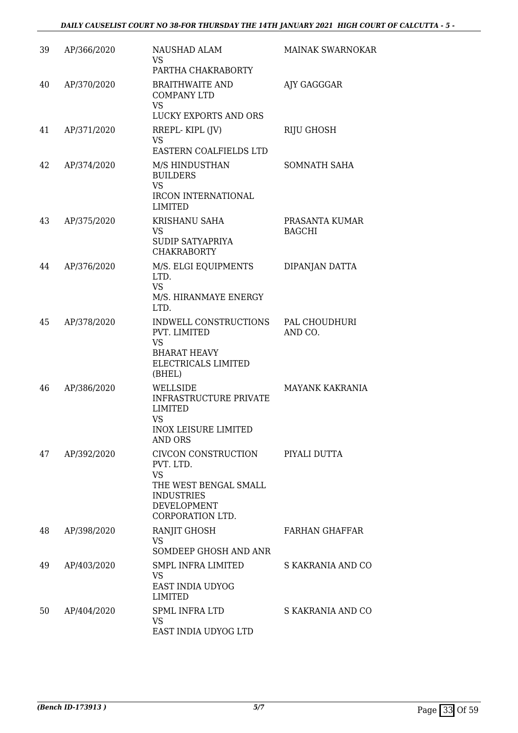| 39 | AP/366/2020 | NAUSHAD ALAM<br><b>VS</b><br>PARTHA CHAKRABORTY                                                                                             | MAINAK SWARNOKAR                |
|----|-------------|---------------------------------------------------------------------------------------------------------------------------------------------|---------------------------------|
| 40 | AP/370/2020 | <b>BRAITHWAITE AND</b><br><b>COMPANY LTD</b><br><b>VS</b><br>LUCKY EXPORTS AND ORS                                                          | AJY GAGGGAR                     |
| 41 | AP/371/2020 | RREPL-KIPL (JV)<br><b>VS</b><br>EASTERN COALFIELDS LTD                                                                                      | <b>RIJU GHOSH</b>               |
| 42 | AP/374/2020 | M/S HINDUSTHAN<br><b>BUILDERS</b><br><b>VS</b><br><b>IRCON INTERNATIONAL</b><br><b>LIMITED</b>                                              | <b>SOMNATH SAHA</b>             |
| 43 | AP/375/2020 | KRISHANU SAHA<br><b>VS</b><br><b>SUDIP SATYAPRIYA</b><br><b>CHAKRABORTY</b>                                                                 | PRASANTA KUMAR<br><b>BAGCHI</b> |
| 44 | AP/376/2020 | M/S. ELGI EQUIPMENTS<br>LTD.<br><b>VS</b><br>M/S. HIRANMAYE ENERGY<br>LTD.                                                                  | DIPANJAN DATTA                  |
| 45 | AP/378/2020 | INDWELL CONSTRUCTIONS<br>PVT. LIMITED<br><b>VS</b><br><b>BHARAT HEAVY</b><br>ELECTRICALS LIMITED<br>(BHEL)                                  | PAL CHOUDHURI<br>AND CO.        |
| 46 | AP/386/2020 | WELLSIDE<br><b>INFRASTRUCTURE PRIVATE</b><br><b>LIMITED</b><br><b>VS</b><br><b>INOX LEISURE LIMITED</b><br>AND ORS                          | <b>MAYANK KAKRANIA</b>          |
| 47 | AP/392/2020 | CIVCON CONSTRUCTION PIYALI DUTTA<br>PVT. LTD.<br><b>VS</b><br>THE WEST BENGAL SMALL<br><b>INDUSTRIES</b><br>DEVELOPMENT<br>CORPORATION LTD. |                                 |
| 48 | AP/398/2020 | <b>RANJIT GHOSH</b><br><b>VS</b><br>SOMDEEP GHOSH AND ANR                                                                                   | FARHAN GHAFFAR                  |
| 49 | AP/403/2020 | SMPL INFRA LIMITED<br><b>VS</b><br>EAST INDIA UDYOG<br><b>LIMITED</b>                                                                       | S KAKRANIA AND CO               |
| 50 | AP/404/2020 | SPML INFRA LTD<br>VS<br>EAST INDIA UDYOG LTD                                                                                                | S KAKRANIA AND CO               |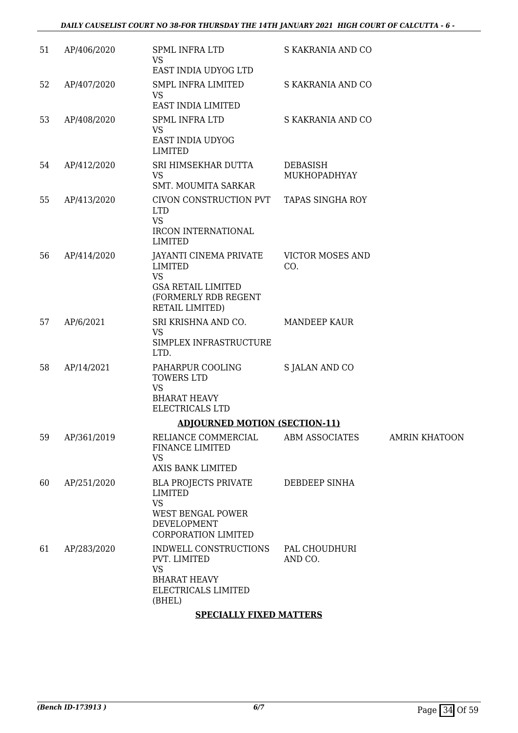| 51 | AP/406/2020 | <b>SPML INFRA LTD</b><br><b>VS</b>                                                                                 | S KAKRANIA AND CO              |                      |
|----|-------------|--------------------------------------------------------------------------------------------------------------------|--------------------------------|----------------------|
|    |             | EAST INDIA UDYOG LTD                                                                                               |                                |                      |
| 52 | AP/407/2020 | <b>SMPL INFRA LIMITED</b><br><b>VS</b>                                                                             | S KAKRANIA AND CO              |                      |
|    |             | EAST INDIA LIMITED                                                                                                 |                                |                      |
| 53 | AP/408/2020 | <b>SPML INFRA LTD</b><br><b>VS</b><br>EAST INDIA UDYOG<br><b>LIMITED</b>                                           | S KAKRANIA AND CO              |                      |
| 54 | AP/412/2020 | SRI HIMSEKHAR DUTTA<br>VS.<br><b>SMT. MOUMITA SARKAR</b>                                                           | DEBASISH<br>MUKHOPADHYAY       |                      |
| 55 | AP/413/2020 | CIVON CONSTRUCTION PVT TAPAS SINGHA ROY<br><b>LTD</b><br><b>VS</b><br><b>IRCON INTERNATIONAL</b><br><b>LIMITED</b> |                                |                      |
| 56 | AP/414/2020 | JAYANTI CINEMA PRIVATE<br><b>LIMITED</b><br><b>VS</b>                                                              | <b>VICTOR MOSES AND</b><br>CO. |                      |
|    |             | <b>GSA RETAIL LIMITED</b><br>(FORMERLY RDB REGENT<br>RETAIL LIMITED)                                               |                                |                      |
| 57 | AP/6/2021   | SRI KRISHNA AND CO.<br><b>VS</b><br>SIMPLEX INFRASTRUCTURE<br>LTD.                                                 | <b>MANDEEP KAUR</b>            |                      |
| 58 | AP/14/2021  | PAHARPUR COOLING<br><b>TOWERS LTD</b><br><b>VS</b><br><b>BHARAT HEAVY</b><br>ELECTRICALS LTD                       | S JALAN AND CO                 |                      |
|    |             | <b>ADJOURNED MOTION (SECTION-11)</b>                                                                               |                                |                      |
| 59 | AP/361/2019 | RELIANCE COMMERCIAL<br>FINANCE LIMITED<br><b>VS</b><br>AXIS BANK LIMITED                                           | ABM ASSOCIATES                 | <b>AMRIN KHATOON</b> |
| 60 | AP/251/2020 | <b>BLA PROJECTS PRIVATE</b><br>LIMITED<br><b>VS</b>                                                                | DEBDEEP SINHA                  |                      |
|    |             | <b>WEST BENGAL POWER</b><br>DEVELOPMENT<br><b>CORPORATION LIMITED</b>                                              |                                |                      |
| 61 | AP/283/2020 | INDWELL CONSTRUCTIONS<br>PVT. LIMITED<br><b>VS</b><br><b>BHARAT HEAVY</b><br>ELECTRICALS LIMITED<br>(BHEL)         | PAL CHOUDHURI<br>AND CO.       |                      |

## **SPECIALLY FIXED MATTERS**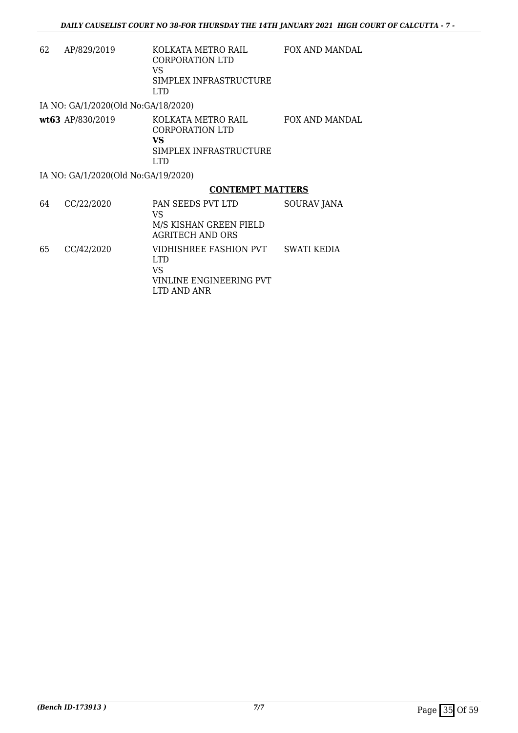| 62 | AP/829/2019                         | KOLKATA METRO RAIL<br>CORPORATION LTD<br>VS<br>SIMPLEX INFRASTRUCTURE<br>LTD.       | <b>FOX AND MANDAL</b> |
|----|-------------------------------------|-------------------------------------------------------------------------------------|-----------------------|
|    | IA NO: GA/1/2020(Old No:GA/18/2020) |                                                                                     |                       |
|    | wt63 AP/830/2019                    | KOLKATA METRO RAIL<br>CORPORATION LTD<br>VS<br>SIMPLEX INFRASTRUCTURE<br><b>LTD</b> | FOX AND MANDAL        |
|    | IA NO: GA/1/2020(Old No:GA/19/2020) |                                                                                     |                       |
|    |                                     | <b>CONTEMPT MATTERS</b>                                                             |                       |
| 64 | CC/22/2020                          | PAN SEEDS PVT LTD<br>VS<br>M/S KISHAN GREEN FIELD<br><b>AGRITECH AND ORS</b>        | SOURAV JANA           |
| 65 | CC/42/2020                          | VIDHISHREE FASHION PVT                                                              | <b>SWATI KEDIA</b>    |

LTD VS VINLINE ENGINEERING PVT

LTD AND ANR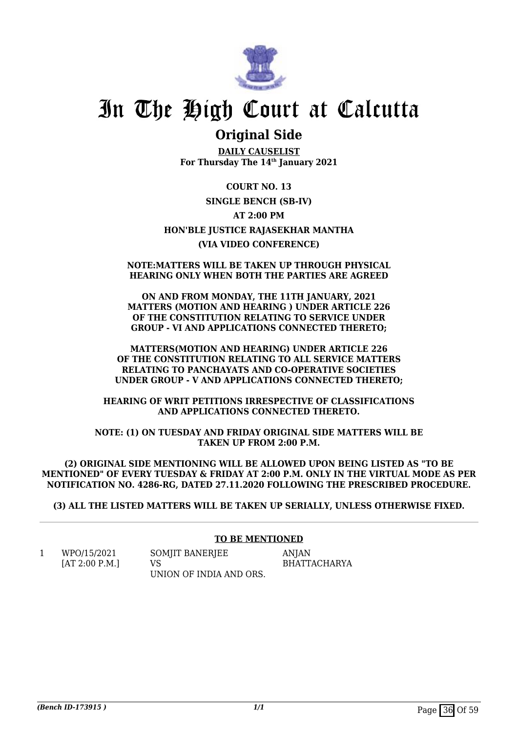

## **Original Side**

**DAILY CAUSELIST For Thursday The 14th January 2021**

**COURT NO. 13 SINGLE BENCH (SB-IV) AT 2:00 PM HON'BLE JUSTICE RAJASEKHAR MANTHA (VIA VIDEO CONFERENCE)**

### **NOTE:MATTERS WILL BE TAKEN UP THROUGH PHYSICAL HEARING ONLY WHEN BOTH THE PARTIES ARE AGREED**

**ON AND FROM MONDAY, THE 11TH JANUARY, 2021 MATTERS (MOTION AND HEARING ) UNDER ARTICLE 226 OF THE CONSTITUTION RELATING TO SERVICE UNDER GROUP - VI AND APPLICATIONS CONNECTED THERETO;**

**MATTERS(MOTION AND HEARING) UNDER ARTICLE 226 OF THE CONSTITUTION RELATING TO ALL SERVICE MATTERS RELATING TO PANCHAYATS AND CO-OPERATIVE SOCIETIES UNDER GROUP - V AND APPLICATIONS CONNECTED THERETO;**

**HEARING OF WRIT PETITIONS IRRESPECTIVE OF CLASSIFICATIONS AND APPLICATIONS CONNECTED THERETO.**

**NOTE: (1) ON TUESDAY AND FRIDAY ORIGINAL SIDE MATTERS WILL BE TAKEN UP FROM 2:00 P.M.**

**(2) ORIGINAL SIDE MENTIONING WILL BE ALLOWED UPON BEING LISTED AS "TO BE MENTIONED" OF EVERY TUESDAY & FRIDAY AT 2:00 P.M. ONLY IN THE VIRTUAL MODE AS PER NOTIFICATION NO. 4286-RG, DATED 27.11.2020 FOLLOWING THE PRESCRIBED PROCEDURE.**

**(3) ALL THE LISTED MATTERS WILL BE TAKEN UP SERIALLY, UNLESS OTHERWISE FIXED.**

## **TO BE MENTIONED**

1 WPO/15/2021 [AT 2:00 P.M.] SOMIIT BANERIEE VS UNION OF INDIA AND ORS. ANJAN BHATTACHARYA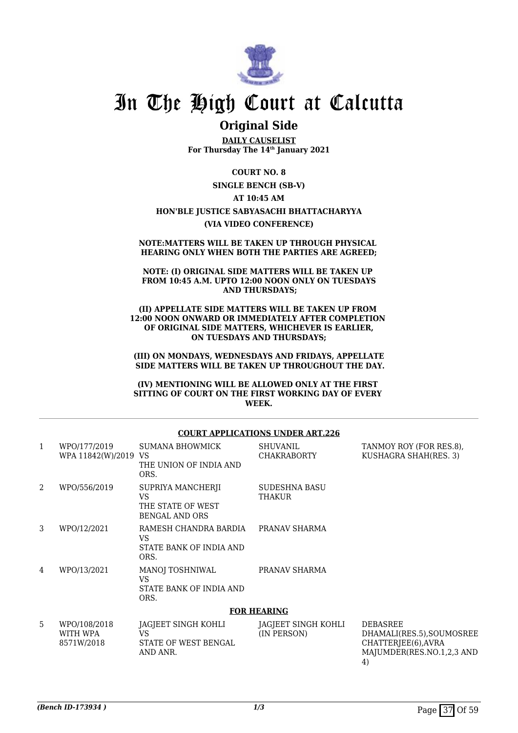

## **Original Side**

**DAILY CAUSELIST For Thursday The 14th January 2021**

**COURT NO. 8 SINGLE BENCH (SB-V) AT 10:45 AM HON'BLE JUSTICE SABYASACHI BHATTACHARYYA (VIA VIDEO CONFERENCE)**

#### **NOTE:MATTERS WILL BE TAKEN UP THROUGH PHYSICAL HEARING ONLY WHEN BOTH THE PARTIES ARE AGREED;**

**NOTE: (I) ORIGINAL SIDE MATTERS WILL BE TAKEN UP FROM 10:45 A.M. UPTO 12:00 NOON ONLY ON TUESDAYS AND THURSDAYS;**

**(II) APPELLATE SIDE MATTERS WILL BE TAKEN UP FROM 12:00 NOON ONWARD OR IMMEDIATELY AFTER COMPLETION OF ORIGINAL SIDE MATTERS, WHICHEVER IS EARLIER, ON TUESDAYS AND THURSDAYS;**

**(III) ON MONDAYS, WEDNESDAYS AND FRIDAYS, APPELLATE SIDE MATTERS WILL BE TAKEN UP THROUGHOUT THE DAY.**

**(IV) MENTIONING WILL BE ALLOWED ONLY AT THE FIRST SITTING OF COURT ON THE FIRST WORKING DAY OF EVERY WEEK.**

#### **COURT APPLICATIONS UNDER ART.226**

| 1              | WPO/177/2019<br>WPA 11842(W)/2019 VS   | <b>SUMANA BHOWMICK</b><br>THE UNION OF INDIA AND<br>ORS.               | <b>SHUVANIL</b><br><b>CHAKRABORTY</b> | TANMOY ROY (FOR RES.8),<br>KUSHAGRA SHAH(RES. 3)                                                       |
|----------------|----------------------------------------|------------------------------------------------------------------------|---------------------------------------|--------------------------------------------------------------------------------------------------------|
| $\overline{2}$ | WPO/556/2019                           | SUPRIYA MANCHERJI<br>VS.<br>THE STATE OF WEST<br><b>BENGAL AND ORS</b> | SUDESHNA BASU<br>THAKUR               |                                                                                                        |
| 3              | WPO/12/2021                            | RAMESH CHANDRA BARDIA<br>VS.<br>STATE BANK OF INDIA AND<br>ORS.        | PRANAV SHARMA                         |                                                                                                        |
| 4              | WPO/13/2021                            | <b>MANOJ TOSHNIWAL</b><br><b>VS</b><br>STATE BANK OF INDIA AND<br>ORS. | PRANAV SHARMA                         |                                                                                                        |
|                |                                        |                                                                        | <b>FOR HEARING</b>                    |                                                                                                        |
| 5              | WPO/108/2018<br>WITH WPA<br>8571W/2018 | JAGJEET SINGH KOHLI<br>VS.<br>STATE OF WEST BENGAL<br>AND ANR.         | JAGJEET SINGH KOHLI<br>(IN PERSON)    | <b>DEBASREE</b><br>DHAMALI(RES.5), SOUMOSREE<br>CHATTERJEE(6), AVRA<br>MAJUMDER(RES.NO.1,2,3 AND<br>4) |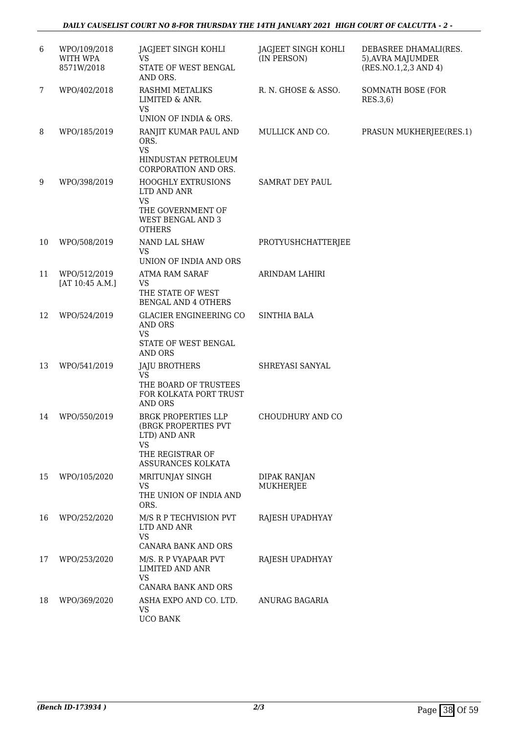| 6  | WPO/109/2018<br>WITH WPA<br>8571W/2018 | JAGJEET SINGH KOHLI<br><b>VS</b><br>STATE OF WEST BENGAL<br>AND ORS.                                                      | JAGJEET SINGH KOHLI<br>(IN PERSON) | DEBASREE DHAMALI(RES.<br>5), AVRA MAJUMDER<br>(RES.NO.1,2,3 AND 4) |
|----|----------------------------------------|---------------------------------------------------------------------------------------------------------------------------|------------------------------------|--------------------------------------------------------------------|
| 7  | WPO/402/2018                           | RASHMI METALIKS<br>LIMITED & ANR.<br><b>VS</b>                                                                            | R. N. GHOSE & ASSO.                | SOMNATH BOSE (FOR<br>RES.3,6)                                      |
| 8  | WPO/185/2019                           | UNION OF INDIA & ORS.<br>RANJIT KUMAR PAUL AND<br>ORS.<br><b>VS</b><br>HINDUSTAN PETROLEUM<br>CORPORATION AND ORS.        | MULLICK AND CO.                    | PRASUN MUKHERJEE(RES.1)                                            |
| 9  | WPO/398/2019                           | <b>HOOGHLY EXTRUSIONS</b><br>LTD AND ANR<br><b>VS</b><br>THE GOVERNMENT OF<br>WEST BENGAL AND 3<br><b>OTHERS</b>          | SAMRAT DEY PAUL                    |                                                                    |
| 10 | WPO/508/2019                           | NAND LAL SHAW<br><b>VS</b><br>UNION OF INDIA AND ORS                                                                      | PROTYUSHCHATTERJEE                 |                                                                    |
| 11 | WPO/512/2019<br>[AT 10:45 A.M.]        | <b>ATMA RAM SARAF</b><br><b>VS</b><br>THE STATE OF WEST<br><b>BENGAL AND 4 OTHERS</b>                                     | ARINDAM LAHIRI                     |                                                                    |
| 12 | WPO/524/2019                           | <b>GLACIER ENGINEERING CO</b><br><b>AND ORS</b><br><b>VS</b><br>STATE OF WEST BENGAL<br><b>AND ORS</b>                    | <b>SINTHIA BALA</b>                |                                                                    |
| 13 | WPO/541/2019                           | <b>JAJU BROTHERS</b><br><b>VS</b><br>THE BOARD OF TRUSTEES<br>FOR KOLKATA PORT TRUST<br>AND ORS                           | SHREYASI SANYAL                    |                                                                    |
| 14 | WPO/550/2019                           | <b>BRGK PROPERTIES LLP</b><br>(BRGK PROPERTIES PVT<br>LTD) AND ANR<br><b>VS</b><br>THE REGISTRAR OF<br>ASSURANCES KOLKATA | CHOUDHURY AND CO                   |                                                                    |
| 15 | WPO/105/2020                           | MRITUNJAY SINGH<br><b>VS</b><br>THE UNION OF INDIA AND<br>ORS.                                                            | <b>DIPAK RANJAN</b><br>MUKHERJEE   |                                                                    |
| 16 | WPO/252/2020                           | M/S R P TECHVISION PVT<br>LTD AND ANR<br>VS<br>CANARA BANK AND ORS                                                        | RAJESH UPADHYAY                    |                                                                    |
| 17 | WPO/253/2020                           | M/S. R P VYAPAAR PVT<br>LIMITED AND ANR<br><b>VS</b><br>CANARA BANK AND ORS                                               | RAJESH UPADHYAY                    |                                                                    |
| 18 | WPO/369/2020                           | ASHA EXPO AND CO. LTD.<br><b>VS</b><br><b>UCO BANK</b>                                                                    | ANURAG BAGARIA                     |                                                                    |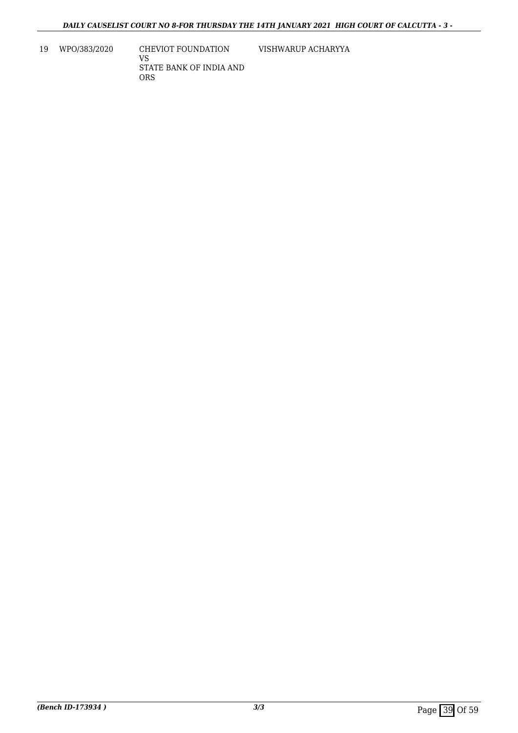19 WPO/383/2020 CHEVIOT FOUNDATION

VS STATE BANK OF INDIA AND ORS

VISHWARUP ACHARYYA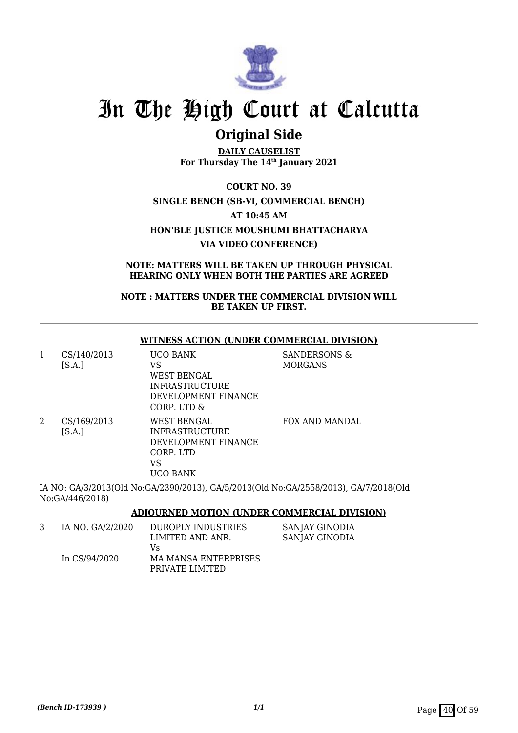

## **Original Side**

**DAILY CAUSELIST For Thursday The 14th January 2021**

**COURT NO. 39 SINGLE BENCH (SB-VI, COMMERCIAL BENCH) AT 10:45 AM HON'BLE JUSTICE MOUSHUMI BHATTACHARYA VIA VIDEO CONFERENCE)**

**NOTE: MATTERS WILL BE TAKEN UP THROUGH PHYSICAL HEARING ONLY WHEN BOTH THE PARTIES ARE AGREED**

**NOTE : MATTERS UNDER THE COMMERCIAL DIVISION WILL BE TAKEN UP FIRST.**

### **WITNESS ACTION (UNDER COMMERCIAL DIVISION)**

| 1 | CS/140/2013<br>[S.A.] | UCO BANK<br>VS<br>WEST BENGAL<br><b>INFRASTRUCTURE</b><br>DEVELOPMENT FINANCE<br>CORP. LTD &      | SANDERSONS &<br><b>MORGANS</b> |
|---|-----------------------|---------------------------------------------------------------------------------------------------|--------------------------------|
| 2 | CS/169/2013<br>[SA.]  | WEST BENGAL<br><b>INFRASTRUCTURE</b><br>DEVELOPMENT FINANCE<br>CORP. LTD<br>VS<br><b>UCO BANK</b> | <b>FOX AND MANDAL</b>          |

IA NO: GA/3/2013(Old No:GA/2390/2013), GA/5/2013(Old No:GA/2558/2013), GA/7/2018(Old No:GA/446/2018)

**ADJOURNED MOTION (UNDER COMMERCIAL DIVISION)**

| IA NO. GA/2/2020 | DUROPLY INDUSTRIES   | SANJAY GINODIA |
|------------------|----------------------|----------------|
|                  | LIMITED AND ANR.     | SANJAY GINODIA |
|                  | Vs                   |                |
| In CS/94/2020    | MA MANSA ENTERPRISES |                |
|                  | PRIVATE LIMITED      |                |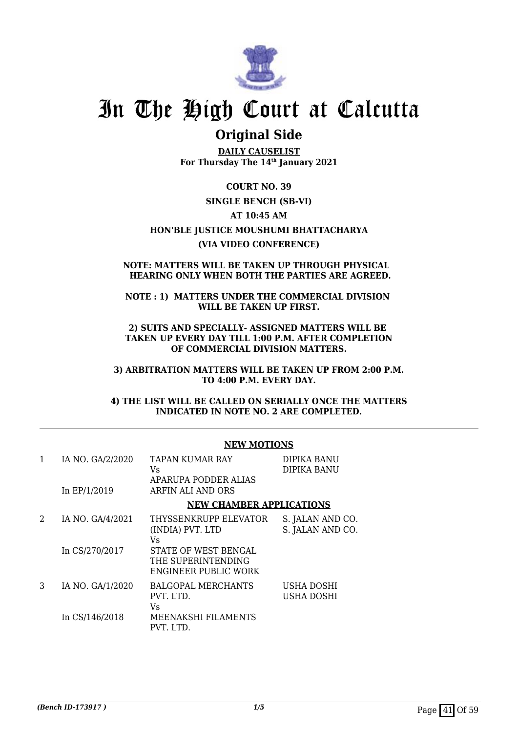

## **Original Side**

**DAILY CAUSELIST For Thursday The 14th January 2021**

**COURT NO. 39 SINGLE BENCH (SB-VI) AT 10:45 AM HON'BLE JUSTICE MOUSHUMI BHATTACHARYA (VIA VIDEO CONFERENCE)**

### **NOTE: MATTERS WILL BE TAKEN UP THROUGH PHYSICAL HEARING ONLY WHEN BOTH THE PARTIES ARE AGREED.**

## **NOTE : 1) MATTERS UNDER THE COMMERCIAL DIVISION WILL BE TAKEN UP FIRST.**

**2) SUITS AND SPECIALLY- ASSIGNED MATTERS WILL BE TAKEN UP EVERY DAY TILL 1:00 P.M. AFTER COMPLETION OF COMMERCIAL DIVISION MATTERS.**

**3) ARBITRATION MATTERS WILL BE TAKEN UP FROM 2:00 P.M. TO 4:00 P.M. EVERY DAY.**

**4) THE LIST WILL BE CALLED ON SERIALLY ONCE THE MATTERS INDICATED IN NOTE NO. 2 ARE COMPLETED.**

| 1 | IA NO. GA/2/2020<br>In $EP/1/2019$ | TAPAN KUMAR RAY<br>Vs.<br>APARUPA PODDER ALIAS<br>ARFIN ALI AND ORS       | DIPIKA BANU<br><b>DIPIKA BANU</b>    |
|---|------------------------------------|---------------------------------------------------------------------------|--------------------------------------|
|   |                                    | <b>NEW CHAMBER APPLICATIONS</b>                                           |                                      |
| 2 | IA NO. GA/4/2021                   | THYSSENKRUPP ELEVATOR<br>(INDIA) PVT. LTD<br>Vs.                          | S. JALAN AND CO.<br>S. JALAN AND CO. |
|   | In CS/270/2017                     | STATE OF WEST BENGAL<br>THE SUPERINTENDING<br><b>ENGINEER PUBLIC WORK</b> |                                      |
| 3 | IA NO. GA/1/2020                   | <b>BALGOPAL MERCHANTS</b><br>PVT. LTD.<br>Vs.                             | USHA DOSHI<br>USHA DOSHI             |
|   | In CS/146/2018                     | <b>MEENAKSHI FILAMENTS</b><br>PVT. LTD.                                   |                                      |

## **NEW MOTIONS**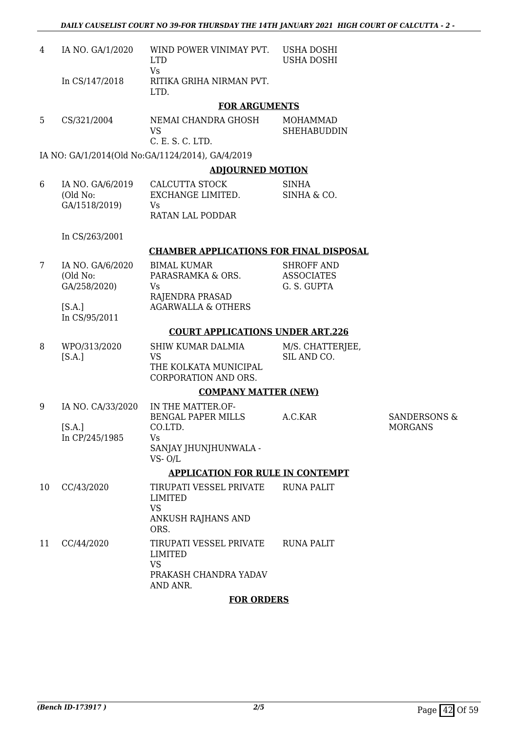| 4  | IA NO. GA/1/2020                              | WIND POWER VINIMAY PVT.<br><b>LTD</b>                                                       | USHA DOSHI<br><b>USHA DOSHI</b>                       |                                           |
|----|-----------------------------------------------|---------------------------------------------------------------------------------------------|-------------------------------------------------------|-------------------------------------------|
|    | In CS/147/2018                                | <b>Vs</b><br>RITIKA GRIHA NIRMAN PVT.<br>LTD.                                               |                                                       |                                           |
|    |                                               | <b>FOR ARGUMENTS</b>                                                                        |                                                       |                                           |
| 5  | CS/321/2004                                   | NEMAI CHANDRA GHOSH<br><b>VS</b><br>C. E. S. C. LTD.                                        | MOHAMMAD<br><b>SHEHABUDDIN</b>                        |                                           |
|    |                                               | IA NO: GA/1/2014(Old No:GA/1124/2014), GA/4/2019                                            |                                                       |                                           |
|    |                                               | <b>ADJOURNED MOTION</b>                                                                     |                                                       |                                           |
| 6  | IA NO. GA/6/2019<br>(Old No:<br>GA/1518/2019) | CALCUTTA STOCK<br>EXCHANGE LIMITED.<br>Vs<br><b>RATAN LAL PODDAR</b>                        | <b>SINHA</b><br>SINHA & CO.                           |                                           |
|    | In CS/263/2001                                |                                                                                             |                                                       |                                           |
|    |                                               | <b>CHAMBER APPLICATIONS FOR FINAL DISPOSAL</b>                                              |                                                       |                                           |
| 7  | IA NO. GA/6/2020<br>(Old No:<br>GA/258/2020)  | <b>BIMAL KUMAR</b><br>PARASRAMKA & ORS.<br>Vs<br>RAJENDRA PRASAD                            | <b>SHROFF AND</b><br><b>ASSOCIATES</b><br>G. S. GUPTA |                                           |
|    | [S.A.]<br>In CS/95/2011                       | <b>AGARWALLA &amp; OTHERS</b>                                                               |                                                       |                                           |
|    |                                               | <b>COURT APPLICATIONS UNDER ART.226</b>                                                     |                                                       |                                           |
| 8  | WPO/313/2020<br>[S.A.]                        | <b>SHIW KUMAR DALMIA</b><br><b>VS</b><br>THE KOLKATA MUNICIPAL<br>CORPORATION AND ORS.      | M/S. CHATTERJEE,<br>SIL AND CO.                       |                                           |
|    |                                               | <b>COMPANY MATTER (NEW)</b>                                                                 |                                                       |                                           |
| 9  | IA NO. CA/33/2020<br>[S.A.]<br>In CP/245/1985 | IN THE MATTER.OF-<br><b>BENGAL PAPER MILLS</b><br>CO.LTD.<br>Vs.                            | A.C.KAR                                               | <b>SANDERSONS &amp;</b><br><b>MORGANS</b> |
|    |                                               | SANJAY JHUNJHUNWALA -<br>$VS - O/L$                                                         |                                                       |                                           |
|    |                                               | <b>APPLICATION FOR RULE IN CONTEMPT</b>                                                     |                                                       |                                           |
| 10 | CC/43/2020                                    | TIRUPATI VESSEL PRIVATE<br><b>LIMITED</b><br><b>VS</b><br>ANKUSH RAJHANS AND<br>ORS.        | <b>RUNA PALIT</b>                                     |                                           |
| 11 | CC/44/2020                                    | TIRUPATI VESSEL PRIVATE<br><b>LIMITED</b><br><b>VS</b><br>PRAKASH CHANDRA YADAV<br>AND ANR. | <b>RUNA PALIT</b>                                     |                                           |
|    |                                               | <b>FOR ORDERS</b>                                                                           |                                                       |                                           |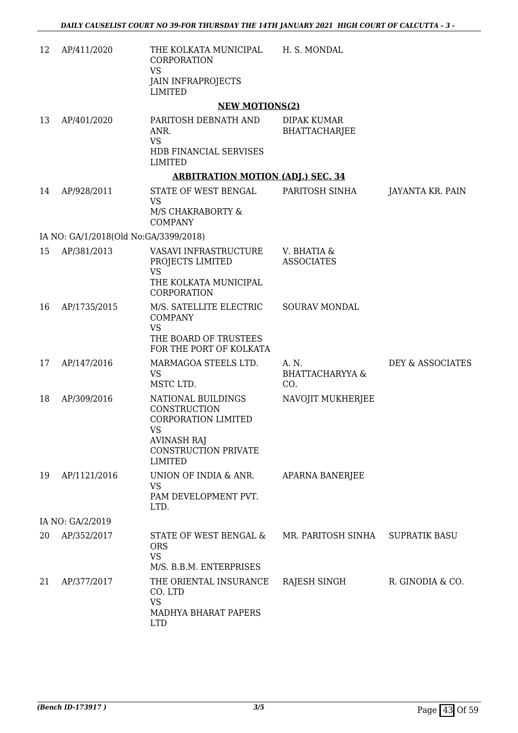| 12 | AP/411/2020                           | THE KOLKATA MUNICIPAL<br>CORPORATION<br><b>VS</b><br><b>JAIN INFRAPROJECTS</b><br><b>LIMITED</b>                                              | H. S. MONDAL                               |                      |
|----|---------------------------------------|-----------------------------------------------------------------------------------------------------------------------------------------------|--------------------------------------------|----------------------|
|    |                                       | <b>NEW MOTIONS(2)</b>                                                                                                                         |                                            |                      |
| 13 | AP/401/2020                           | PARITOSH DEBNATH AND<br>ANR.<br><b>VS</b><br>HDB FINANCIAL SERVISES<br><b>LIMITED</b>                                                         | DIPAK KUMAR<br><b>BHATTACHARJEE</b>        |                      |
|    |                                       | <b>ARBITRATION MOTION (ADJ.) SEC. 34</b>                                                                                                      |                                            |                      |
| 14 | AP/928/2011                           | STATE OF WEST BENGAL<br><b>VS</b><br>M/S CHAKRABORTY &<br><b>COMPANY</b>                                                                      | PARITOSH SINHA                             | JAYANTA KR. PAIN     |
|    | IA NO: GA/1/2018(Old No:GA/3399/2018) |                                                                                                                                               |                                            |                      |
| 15 | AP/381/2013                           | VASAVI INFRASTRUCTURE<br>PROJECTS LIMITED<br><b>VS</b><br>THE KOLKATA MUNICIPAL<br>CORPORATION                                                | V. BHATIA &<br><b>ASSOCIATES</b>           |                      |
| 16 | AP/1735/2015                          | M/S. SATELLITE ELECTRIC<br><b>COMPANY</b><br><b>VS</b><br>THE BOARD OF TRUSTEES<br>FOR THE PORT OF KOLKATA                                    | <b>SOURAV MONDAL</b>                       |                      |
| 17 | AP/147/2016                           | MARMAGOA STEELS LTD.<br><b>VS</b><br>MSTC LTD.                                                                                                | A. N.<br><b>BHATTACHARYYA &amp;</b><br>CO. | DEY & ASSOCIATES     |
| 18 | AP/309/2016                           | NATIONAL BUILDINGS<br>CONSTRUCTION<br>CORPORATION LIMITED<br><b>VS</b><br><b>AVINASH RAJ</b><br><b>CONSTRUCTION PRIVATE</b><br><b>LIMITED</b> | NAVOJIT MUKHERJEE                          |                      |
| 19 | AP/1121/2016                          | UNION OF INDIA & ANR.<br><b>VS</b><br>PAM DEVELOPMENT PVT.<br>LTD.                                                                            | APARNA BANERJEE                            |                      |
|    | IA NO: GA/2/2019                      |                                                                                                                                               |                                            |                      |
| 20 | AP/352/2017                           | STATE OF WEST BENGAL &<br><b>ORS</b><br><b>VS</b><br>M/S. B.B.M. ENTERPRISES                                                                  | MR. PARITOSH SINHA                         | <b>SUPRATIK BASU</b> |
| 21 | AP/377/2017                           | THE ORIENTAL INSURANCE<br>CO. LTD<br><b>VS</b><br>MADHYA BHARAT PAPERS<br><b>LTD</b>                                                          | RAJESH SINGH                               | R. GINODIA & CO.     |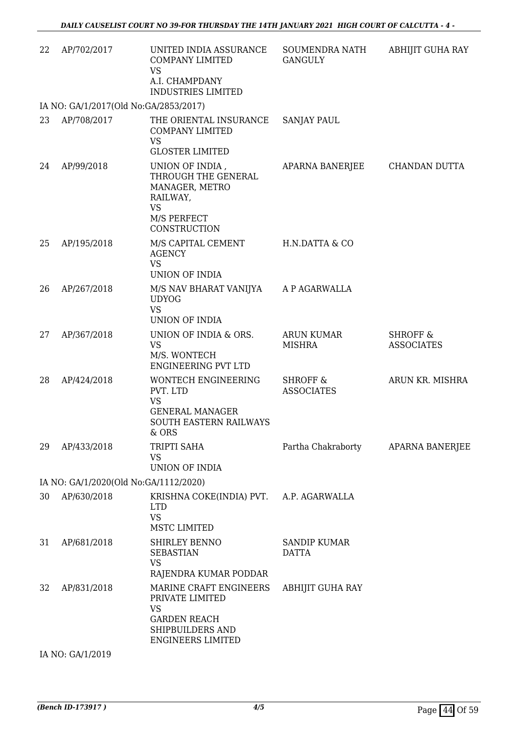| 22 | AP/702/2017                           | UNITED INDIA ASSURANCE<br><b>COMPANY LIMITED</b><br><b>VS</b><br>A.I. CHAMPDANY<br><b>INDUSTRIES LIMITED</b>                  | SOUMENDRA NATH<br><b>GANGULY</b>         | ABHIJIT GUHA RAY                         |
|----|---------------------------------------|-------------------------------------------------------------------------------------------------------------------------------|------------------------------------------|------------------------------------------|
|    | IA NO: GA/1/2017(Old No:GA/2853/2017) |                                                                                                                               |                                          |                                          |
| 23 | AP/708/2017                           | THE ORIENTAL INSURANCE<br>COMPANY LIMITED<br><b>VS</b><br><b>GLOSTER LIMITED</b>                                              | <b>SANJAY PAUL</b>                       |                                          |
| 24 | AP/99/2018                            | UNION OF INDIA,<br>THROUGH THE GENERAL<br>MANAGER, METRO<br>RAILWAY,<br><b>VS</b><br>M/S PERFECT<br>CONSTRUCTION              | APARNA BANERJEE                          | CHANDAN DUTTA                            |
| 25 | AP/195/2018                           | M/S CAPITAL CEMENT<br><b>AGENCY</b><br><b>VS</b><br>UNION OF INDIA                                                            | H.N.DATTA & CO                           |                                          |
| 26 | AP/267/2018                           | M/S NAV BHARAT VANIJYA A P AGARWALLA<br><b>UDYOG</b><br><b>VS</b><br><b>UNION OF INDIA</b>                                    |                                          |                                          |
| 27 | AP/367/2018                           | UNION OF INDIA & ORS.<br><b>VS</b><br>M/S. WONTECH<br><b>ENGINEERING PVT LTD</b>                                              | <b>ARUN KUMAR</b><br><b>MISHRA</b>       | <b>SHROFF &amp;</b><br><b>ASSOCIATES</b> |
| 28 | AP/424/2018                           | <b>WONTECH ENGINEERING</b><br>PVT. LTD<br><b>VS</b><br><b>GENERAL MANAGER</b><br>SOUTH EASTERN RAILWAYS<br>& ORS              | <b>SHROFF &amp;</b><br><b>ASSOCIATES</b> | ARUN KR. MISHRA                          |
| 29 | AP/433/2018                           | TRIPTI SAHA<br><b>VS</b><br><b>UNION OF INDIA</b>                                                                             | Partha Chakraborty                       | APARNA BANERJEE                          |
|    | IA NO: GA/1/2020(Old No:GA/1112/2020) |                                                                                                                               |                                          |                                          |
| 30 | AP/630/2018                           | KRISHNA COKE(INDIA) PVT. A.P. AGARWALLA<br><b>LTD</b><br><b>VS</b><br><b>MSTC LIMITED</b>                                     |                                          |                                          |
| 31 | AP/681/2018                           | SHIRLEY BENNO<br><b>SEBASTIAN</b><br><b>VS</b><br>RAJENDRA KUMAR PODDAR                                                       | <b>SANDIP KUMAR</b><br><b>DATTA</b>      |                                          |
| 32 | AP/831/2018                           | MARINE CRAFT ENGINEERS<br>PRIVATE LIMITED<br><b>VS</b><br><b>GARDEN REACH</b><br>SHIPBUILDERS AND<br><b>ENGINEERS LIMITED</b> | <b>ABHIJIT GUHA RAY</b>                  |                                          |
|    | IA NO: GA/1/2019                      |                                                                                                                               |                                          |                                          |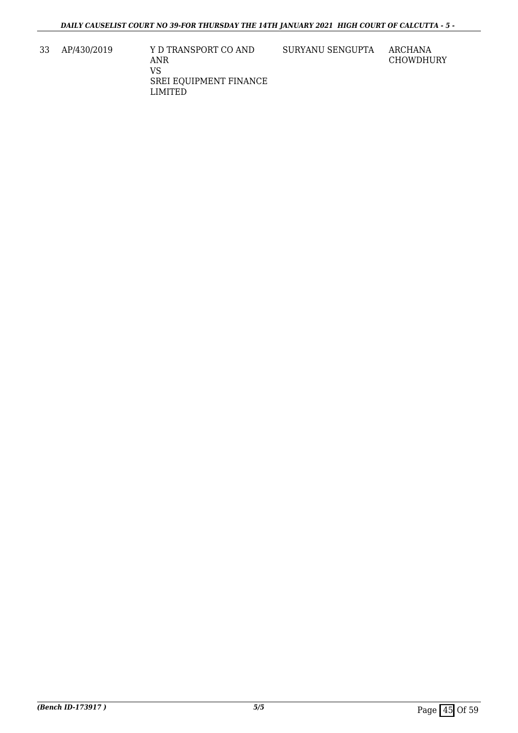33 AP/430/2019 Y D TRANSPORT CO AND ANR VS SREI EQUIPMENT FINANCE LIMITED

SURYANU SENGUPTA ARCHANA

CHOWDHURY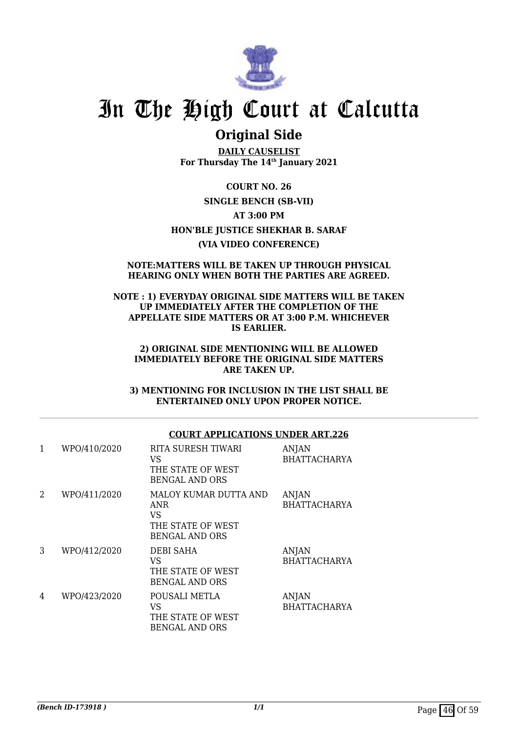

## **Original Side**

**DAILY CAUSELIST For Thursday The 14th January 2021**

**COURT NO. 26 SINGLE BENCH (SB-VII) AT 3:00 PM HON'BLE JUSTICE SHEKHAR B. SARAF (VIA VIDEO CONFERENCE)**

### **NOTE:MATTERS WILL BE TAKEN UP THROUGH PHYSICAL HEARING ONLY WHEN BOTH THE PARTIES ARE AGREED.**

### **NOTE : 1) EVERYDAY ORIGINAL SIDE MATTERS WILL BE TAKEN UP IMMEDIATELY AFTER THE COMPLETION OF THE APPELLATE SIDE MATTERS OR AT 3:00 P.M. WHICHEVER IS EARLIER.**

#### **2) ORIGINAL SIDE MENTIONING WILL BE ALLOWED IMMEDIATELY BEFORE THE ORIGINAL SIDE MATTERS ARE TAKEN UP.**

**3) MENTIONING FOR INCLUSION IN THE LIST SHALL BE ENTERTAINED ONLY UPON PROPER NOTICE.**

## **COURT APPLICATIONS UNDER ART.226**

| 1 | WPO/410/2020 | RITA SURESH TIWARI<br>VS<br>THE STATE OF WEST<br><b>BENGAL AND ORS</b>           | <b>ANJAN</b><br><b>BHATTACHARYA</b> |
|---|--------------|----------------------------------------------------------------------------------|-------------------------------------|
| 2 | WPO/411/2020 | MALOY KUMAR DUTTA AND<br>ANR<br>VS<br>THE STATE OF WEST<br><b>BENGAL AND ORS</b> | ANJAN<br><b>BHATTACHARYA</b>        |
| 3 | WPO/412/2020 | <b>DEBI SAHA</b><br>VS<br>THE STATE OF WEST<br><b>BENGAL AND ORS</b>             | <b>ANJAN</b><br><b>BHATTACHARYA</b> |
| 4 | WPO/423/2020 | POUSALI METLA<br>VS<br>THE STATE OF WEST<br><b>BENGAL AND ORS</b>                | ANJAN<br><b>BHATTACHARYA</b>        |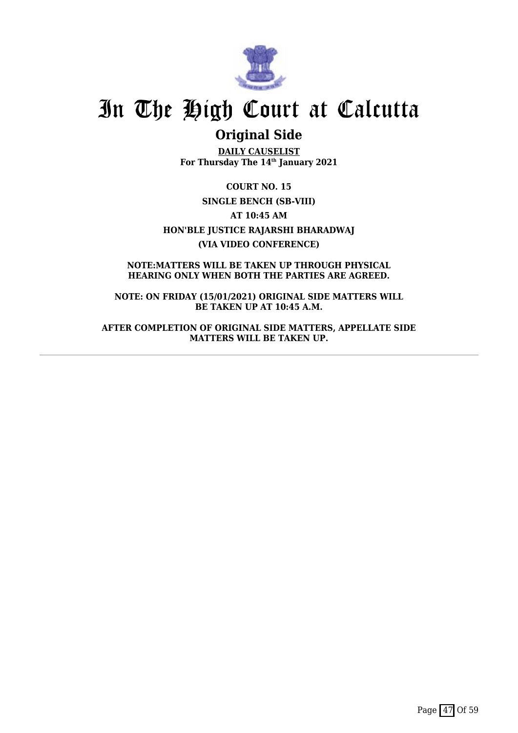

## **Original Side**

**DAILY CAUSELIST For Thursday The 14th January 2021**

**COURT NO. 15 SINGLE BENCH (SB-VIII) AT 10:45 AM HON'BLE JUSTICE RAJARSHI BHARADWAJ (VIA VIDEO CONFERENCE)**

**NOTE:MATTERS WILL BE TAKEN UP THROUGH PHYSICAL HEARING ONLY WHEN BOTH THE PARTIES ARE AGREED.**

**NOTE: ON FRIDAY (15/01/2021) ORIGINAL SIDE MATTERS WILL BE TAKEN UP AT 10:45 A.M.**

**AFTER COMPLETION OF ORIGINAL SIDE MATTERS, APPELLATE SIDE MATTERS WILL BE TAKEN UP.**

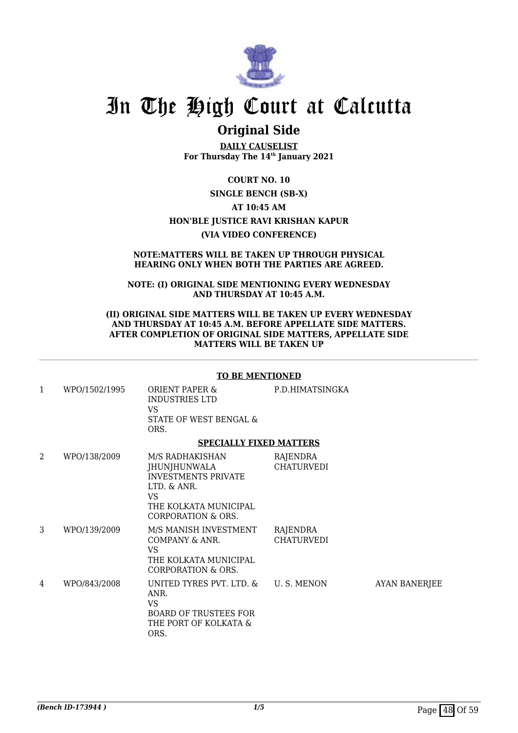

## **Original Side**

**DAILY CAUSELIST For Thursday The 14th January 2021**

**COURT NO. 10 SINGLE BENCH (SB-X) AT 10:45 AM HON'BLE JUSTICE RAVI KRISHAN KAPUR (VIA VIDEO CONFERENCE)**

#### **NOTE:MATTERS WILL BE TAKEN UP THROUGH PHYSICAL HEARING ONLY WHEN BOTH THE PARTIES ARE AGREED.**

**NOTE: (I) ORIGINAL SIDE MENTIONING EVERY WEDNESDAY AND THURSDAY AT 10:45 A.M.**

#### **(II) ORIGINAL SIDE MATTERS WILL BE TAKEN UP EVERY WEDNESDAY AND THURSDAY AT 10:45 A.M. BEFORE APPELLATE SIDE MATTERS. AFTER COMPLETION OF ORIGINAL SIDE MATTERS, APPELLATE SIDE MATTERS WILL BE TAKEN UP**

#### **TO BE MENTIONED**

| 1 | WPO/1502/1995 | ORIENT PAPER &<br>INDUSTRIES LTD<br>VS.<br>STATE OF WEST BENGAL &<br>ORS.                                                          | P.D.HIMATSINGKA               |                      |
|---|---------------|------------------------------------------------------------------------------------------------------------------------------------|-------------------------------|----------------------|
|   |               | <b>SPECIALLY FIXED MATTERS</b>                                                                                                     |                               |                      |
| 2 | WPO/138/2009  | M/S RADHAKISHAN<br>JHUNJHUNWALA<br><b>INVESTMENTS PRIVATE</b><br>LTD. & ANR.<br>VS.<br>THE KOLKATA MUNICIPAL<br>CORPORATION & ORS. | RAJENDRA<br><b>CHATURVEDI</b> |                      |
| 3 | WPO/139/2009  | M/S MANISH INVESTMENT<br>COMPANY & ANR.<br>VS.<br>THE KOLKATA MUNICIPAL<br>CORPORATION & ORS.                                      | RAJENDRA<br><b>CHATURVEDI</b> |                      |
| 4 | WPO/843/2008  | UNITED TYRES PVT. LTD. & U.S. MENON<br>ANR.<br><b>VS</b><br><b>BOARD OF TRUSTEES FOR</b><br>THE PORT OF KOLKATA &<br>ORS.          |                               | <b>AYAN BANERJEE</b> |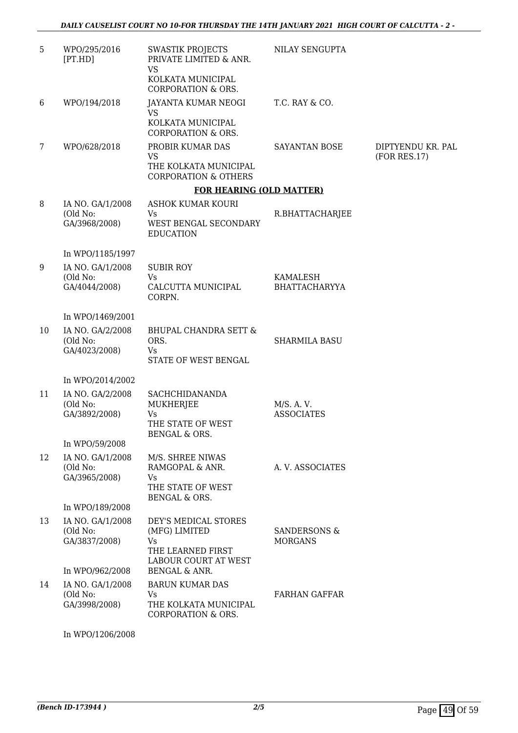| 5  | WPO/295/2016<br>[PT.HD]                       | <b>SWASTIK PROJECTS</b><br>PRIVATE LIMITED & ANR.<br><b>VS</b>                             | NILAY SENGUPTA                            |                                   |
|----|-----------------------------------------------|--------------------------------------------------------------------------------------------|-------------------------------------------|-----------------------------------|
|    |                                               | KOLKATA MUNICIPAL<br><b>CORPORATION &amp; ORS.</b>                                         |                                           |                                   |
| 6  | WPO/194/2018                                  | JAYANTA KUMAR NEOGI<br><b>VS</b><br>KOLKATA MUNICIPAL                                      | T.C. RAY & CO.                            |                                   |
|    |                                               | <b>CORPORATION &amp; ORS.</b>                                                              |                                           |                                   |
| 7  | WPO/628/2018                                  | PROBIR KUMAR DAS<br><b>VS</b><br>THE KOLKATA MUNICIPAL                                     | SAYANTAN BOSE                             | DIPTYENDU KR. PAL<br>(FOR RES.17) |
|    |                                               | <b>CORPORATION &amp; OTHERS</b>                                                            |                                           |                                   |
|    |                                               | <b>FOR HEARING (OLD MATTER)</b>                                                            |                                           |                                   |
| 8  | IA NO. GA/1/2008                              | ASHOK KUMAR KOURI                                                                          |                                           |                                   |
|    | (Old No:<br>GA/3968/2008)                     | Vs<br>WEST BENGAL SECONDARY<br><b>EDUCATION</b>                                            | R.BHATTACHARJEE                           |                                   |
|    | In WPO/1185/1997                              |                                                                                            |                                           |                                   |
| 9  | IA NO. GA/1/2008                              | <b>SUBIR ROY</b>                                                                           |                                           |                                   |
|    | (Old No:<br>GA/4044/2008)                     | Vs<br>CALCUTTA MUNICIPAL                                                                   | KAMALESH<br><b>BHATTACHARYYA</b>          |                                   |
|    |                                               | CORPN.                                                                                     |                                           |                                   |
|    | In WPO/1469/2001                              |                                                                                            |                                           |                                   |
| 10 | IA NO. GA/2/2008<br>(Old No:<br>GA/4023/2008) | <b>BHUPAL CHANDRA SETT &amp;</b><br>ORS.<br>Vs<br>STATE OF WEST BENGAL                     | <b>SHARMILA BASU</b>                      |                                   |
|    | In WPO/2014/2002                              |                                                                                            |                                           |                                   |
| 11 | IA NO. GA/2/2008<br>(Old No:<br>GA/3892/2008) | <b>SACHCHIDANANDA</b><br><b>MUKHERJEE</b><br><b>Vs</b><br>THE STATE OF WEST                | M/S. A. V.<br><b>ASSOCIATES</b>           |                                   |
|    | In WPO/59/2008                                | BENGAL & ORS.                                                                              |                                           |                                   |
| 12 | IA NO. GA/1/2008<br>(Old No:<br>GA/3965/2008) | M/S. SHREE NIWAS<br>RAMGOPAL & ANR.<br>Vs<br>THE STATE OF WEST<br><b>BENGAL &amp; ORS.</b> | A.V. ASSOCIATES                           |                                   |
|    | In WPO/189/2008                               |                                                                                            |                                           |                                   |
| 13 | IA NO. GA/1/2008<br>(Old No:<br>GA/3837/2008) | DEY'S MEDICAL STORES<br>(MFG) LIMITED<br>Vs.<br>THE LEARNED FIRST<br>LABOUR COURT AT WEST  | <b>SANDERSONS &amp;</b><br><b>MORGANS</b> |                                   |
|    | In WPO/962/2008                               | <b>BENGAL &amp; ANR.</b>                                                                   |                                           |                                   |
| 14 | IA NO. GA/1/2008<br>(Old No:<br>GA/3998/2008) | <b>BARUN KUMAR DAS</b><br>Vs<br>THE KOLKATA MUNICIPAL<br><b>CORPORATION &amp; ORS.</b>     | <b>FARHAN GAFFAR</b>                      |                                   |

In WPO/1206/2008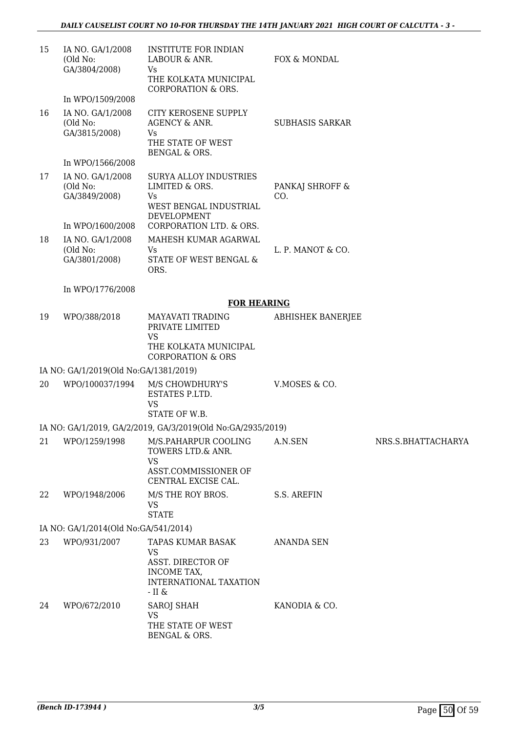| 15 | IA NO. GA/1/2008<br>(Old No:<br>GA/3804/2008) | <b>INSTITUTE FOR INDIAN</b><br>LABOUR & ANR.<br>Vs<br>THE KOLKATA MUNICIPAL<br><b>CORPORATION &amp; ORS.</b> | FOX & MONDAL             |                    |
|----|-----------------------------------------------|--------------------------------------------------------------------------------------------------------------|--------------------------|--------------------|
|    | In WPO/1509/2008                              |                                                                                                              |                          |                    |
| 16 | IA NO. GA/1/2008<br>(Old No:<br>GA/3815/2008) | CITY KEROSENE SUPPLY<br>AGENCY & ANR.<br>Vs<br>THE STATE OF WEST<br>BENGAL & ORS.                            | <b>SUBHASIS SARKAR</b>   |                    |
|    | In WPO/1566/2008                              |                                                                                                              |                          |                    |
| 17 | IA NO. GA/1/2008<br>(Old No:<br>GA/3849/2008) | <b>SURYA ALLOY INDUSTRIES</b><br>LIMITED & ORS.<br>Vs<br>WEST BENGAL INDUSTRIAL<br><b>DEVELOPMENT</b>        | PANKAJ SHROFF &<br>CO.   |                    |
|    | In WPO/1600/2008                              | CORPORATION LTD. & ORS.                                                                                      |                          |                    |
| 18 | IA NO. GA/1/2008<br>(Old No:<br>GA/3801/2008) | MAHESH KUMAR AGARWAL<br>Vs<br>STATE OF WEST BENGAL &<br>ORS.                                                 | L. P. MANOT & CO.        |                    |
|    | In WPO/1776/2008                              |                                                                                                              |                          |                    |
|    |                                               | <b>FOR HEARING</b>                                                                                           |                          |                    |
| 19 | WPO/388/2018                                  | MAYAVATI TRADING<br>PRIVATE LIMITED<br><b>VS</b><br>THE KOLKATA MUNICIPAL                                    | <b>ABHISHEK BANERJEE</b> |                    |
|    |                                               | <b>CORPORATION &amp; ORS</b>                                                                                 |                          |                    |
|    | IA NO: GA/1/2019(Old No:GA/1381/2019)         |                                                                                                              |                          |                    |
| 20 | WPO/100037/1994                               | M/S CHOWDHURY'S<br>ESTATES P.LTD.<br>VS<br>STATE OF W.B.                                                     | V.MOSES & CO.            |                    |
|    |                                               | IA NO: GA/1/2019, GA/2/2019, GA/3/2019(Old No:GA/2935/2019)                                                  |                          |                    |
| 21 | WPO/1259/1998                                 | M/S.PAHARPUR COOLING<br>TOWERS LTD.& ANR.<br><b>VS</b><br>ASST.COMMISSIONER OF<br>CENTRAL EXCISE CAL.        | A.N.SEN                  | NRS.S.BHATTACHARYA |
| 22 | WPO/1948/2006                                 | M/S THE ROY BROS.<br><b>VS</b><br><b>STATE</b>                                                               | <b>S.S. AREFIN</b>       |                    |
|    | IA NO: GA/1/2014(Old No:GA/541/2014)          |                                                                                                              |                          |                    |
| 23 | WPO/931/2007                                  | TAPAS KUMAR BASAK                                                                                            | <b>ANANDA SEN</b>        |                    |
|    |                                               | <b>VS</b><br>ASST. DIRECTOR OF<br>INCOME TAX,<br>INTERNATIONAL TAXATION<br>- II $\&$                         |                          |                    |
| 24 | WPO/672/2010                                  | <b>SAROJ SHAH</b><br><b>VS</b><br>THE STATE OF WEST<br>BENGAL & ORS.                                         | KANODIA & CO.            |                    |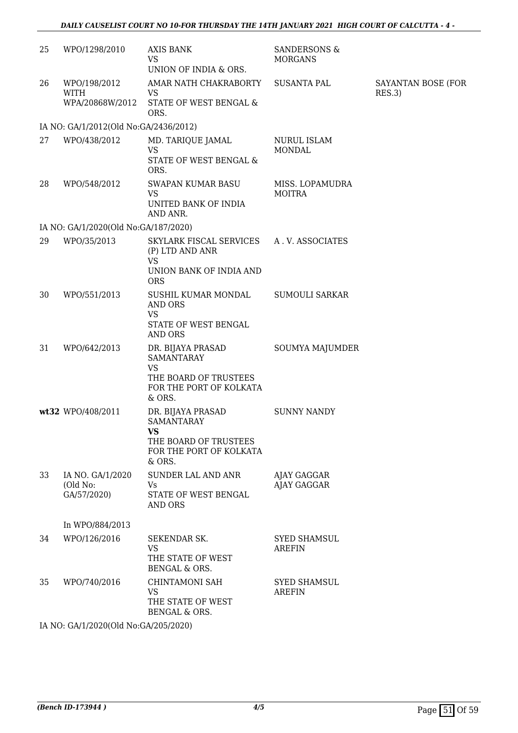| 25 | WPO/1298/2010                                   | AXIS BANK<br><b>VS</b><br>UNION OF INDIA & ORS.                                                                   | <b>SANDERSONS &amp;</b><br><b>MORGANS</b> |                              |
|----|-------------------------------------------------|-------------------------------------------------------------------------------------------------------------------|-------------------------------------------|------------------------------|
| 26 | WPO/198/2012<br><b>WITH</b><br>WPA/20868W/2012  | AMAR NATH CHAKRABORTY<br>VS<br>STATE OF WEST BENGAL &<br>ORS.                                                     | <b>SUSANTA PAL</b>                        | SAYANTAN BOSE (FOR<br>RES.3) |
|    | IA NO: GA/1/2012(Old No:GA/2436/2012)           |                                                                                                                   |                                           |                              |
| 27 | WPO/438/2012                                    | MD. TARIQUE JAMAL<br><b>VS</b><br>STATE OF WEST BENGAL &<br>ORS.                                                  | NURUL ISLAM<br><b>MONDAL</b>              |                              |
| 28 | WPO/548/2012                                    | SWAPAN KUMAR BASU<br><b>VS</b><br>UNITED BANK OF INDIA<br>AND ANR.                                                | MISS. LOPAMUDRA<br>MOITRA                 |                              |
|    | IA NO: GA/1/2020(Old No:GA/187/2020)            |                                                                                                                   |                                           |                              |
| 29 | WPO/35/2013                                     | SKYLARK FISCAL SERVICES<br>(P) LTD AND ANR<br><b>VS</b><br>UNION BANK OF INDIA AND<br><b>ORS</b>                  | A.V. ASSOCIATES                           |                              |
| 30 | WPO/551/2013                                    | SUSHIL KUMAR MONDAL<br><b>AND ORS</b><br><b>VS</b><br>STATE OF WEST BENGAL<br><b>AND ORS</b>                      | <b>SUMOULI SARKAR</b>                     |                              |
| 31 | WPO/642/2013                                    | DR. BIJAYA PRASAD<br><b>SAMANTARAY</b><br><b>VS</b><br>THE BOARD OF TRUSTEES<br>FOR THE PORT OF KOLKATA<br>& ORS. | SOUMYA MAJUMDER                           |                              |
|    | wt32 WPO/408/2011                               | DR. BIJAYA PRASAD<br><b>SAMANTARAY</b><br>VS<br>THE BOARD OF TRUSTEES<br>FOR THE PORT OF KOLKATA<br>& ORS.        | <b>SUNNY NANDY</b>                        |                              |
| 33 | IA NO. GA/1/2020<br>(Old No:<br>GA/57/2020)     | SUNDER LAL AND ANR<br>Vs<br>STATE OF WEST BENGAL<br>AND ORS                                                       | AJAY GAGGAR<br>AJAY GAGGAR                |                              |
|    | In WPO/884/2013                                 |                                                                                                                   |                                           |                              |
| 34 | WPO/126/2016                                    | <b>SEKENDAR SK.</b><br><b>VS</b><br>THE STATE OF WEST<br><b>BENGAL &amp; ORS.</b>                                 | <b>SYED SHAMSUL</b><br><b>AREFIN</b>      |                              |
| 35 | WPO/740/2016                                    | <b>CHINTAMONI SAH</b><br><b>VS</b><br>THE STATE OF WEST<br>BENGAL & ORS.                                          | <b>SYED SHAMSUL</b><br><b>AREFIN</b>      |                              |
|    | $(0.000(01.1)$ M <sub>2</sub> $(0.1005(0.000))$ |                                                                                                                   |                                           |                              |

IA NO: GA/1/2020(Old No:GA/205/2020)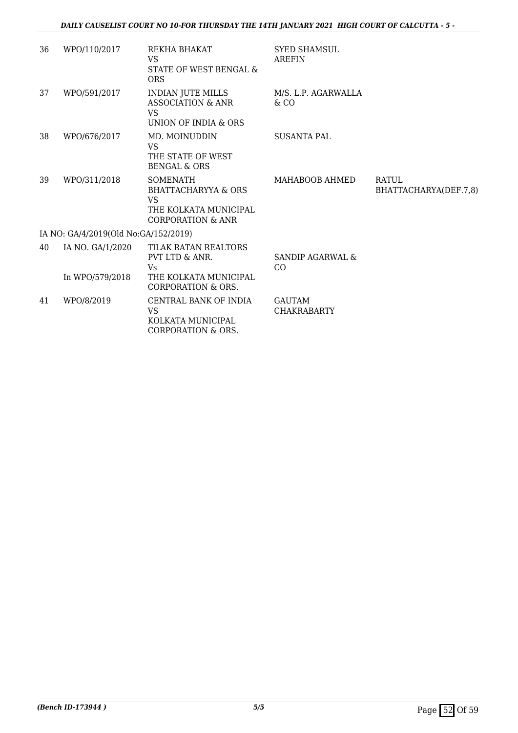| 36 | WPO/110/2017                         | REKHA BHAKAT<br><b>VS</b><br>STATE OF WEST BENGAL &<br><b>ORS</b>                                                 | <b>SYED SHAMSUL</b><br><b>AREFIN</b> |                                       |
|----|--------------------------------------|-------------------------------------------------------------------------------------------------------------------|--------------------------------------|---------------------------------------|
| 37 | WPO/591/2017                         | INDIAN JUTE MILLS<br><b>ASSOCIATION &amp; ANR</b><br>VS.<br>UNION OF INDIA & ORS                                  | M/S. L.P. AGARWALLA<br>$&$ CO        |                                       |
| 38 | WPO/676/2017                         | MD. MOINUDDIN<br><b>VS</b><br>THE STATE OF WEST<br><b>BENGAL &amp; ORS</b>                                        | <b>SUSANTA PAL</b>                   |                                       |
| 39 | WPO/311/2018                         | <b>SOMENATH</b><br><b>BHATTACHARYYA &amp; ORS</b><br>VS.<br>THE KOLKATA MUNICIPAL<br><b>CORPORATION &amp; ANR</b> | MAHABOOB AHMED                       | <b>RATUL</b><br>BHATTACHARYA(DEF.7,8) |
|    | IA NO: GA/4/2019(Old No:GA/152/2019) |                                                                                                                   |                                      |                                       |
| 40 | IA NO. GA/1/2020<br>In WPO/579/2018  | TILAK RATAN REALTORS<br>PVT LTD & ANR.<br>Vs<br>THE KOLKATA MUNICIPAL<br>CORPORATION & ORS.                       | <b>SANDIP AGARWAL &amp;</b><br>CO    |                                       |
| 41 | WPO/8/2019                           | CENTRAL BANK OF INDIA<br><b>VS</b><br>KOLKATA MUNICIPAL<br><b>CORPORATION &amp; ORS.</b>                          | <b>GAUTAM</b><br><b>CHAKRABARTY</b>  |                                       |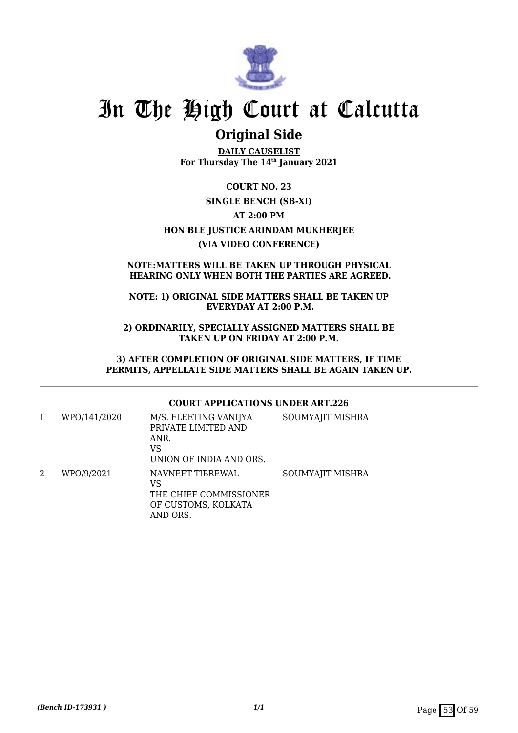

## **Original Side**

**DAILY CAUSELIST For Thursday The 14th January 2021**

**COURT NO. 23 SINGLE BENCH (SB-XI) AT 2:00 PM HON'BLE JUSTICE ARINDAM MUKHERJEE (VIA VIDEO CONFERENCE)**

### **NOTE:MATTERS WILL BE TAKEN UP THROUGH PHYSICAL HEARING ONLY WHEN BOTH THE PARTIES ARE AGREED.**

## **NOTE: 1) ORIGINAL SIDE MATTERS SHALL BE TAKEN UP EVERYDAY AT 2:00 P.M.**

**2) ORDINARILY, SPECIALLY ASSIGNED MATTERS SHALL BE TAKEN UP ON FRIDAY AT 2:00 P.M.**

**3) AFTER COMPLETION OF ORIGINAL SIDE MATTERS, IF TIME PERMITS, APPELLATE SIDE MATTERS SHALL BE AGAIN TAKEN UP.**

### **COURT APPLICATIONS UNDER ART.226**

|   | WPO/141/2020 | M/S. FLEETING VANIJYA<br>PRIVATE LIMITED AND<br>ANR.<br>VS<br>UNION OF INDIA AND ORS. | SOUMYAJIT MISHRA |
|---|--------------|---------------------------------------------------------------------------------------|------------------|
| 2 | WPO/9/2021   | NAVNEET TIBREWAL<br>VS<br>THE CHIEF COMMISSIONER<br>OF CUSTOMS, KOLKATA<br>AND ORS.   | SOUMYAJIT MISHRA |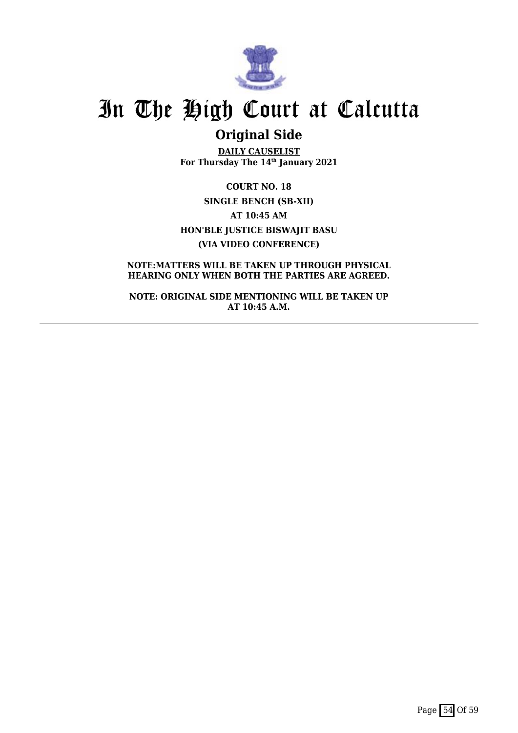

## **Original Side**

**DAILY CAUSELIST For Thursday The 14th January 2021**

**COURT NO. 18 SINGLE BENCH (SB-XII) AT 10:45 AM HON'BLE JUSTICE BISWAJIT BASU (VIA VIDEO CONFERENCE)**

**NOTE:MATTERS WILL BE TAKEN UP THROUGH PHYSICAL HEARING ONLY WHEN BOTH THE PARTIES ARE AGREED.**

**NOTE: ORIGINAL SIDE MENTIONING WILL BE TAKEN UP AT 10:45 A.M.**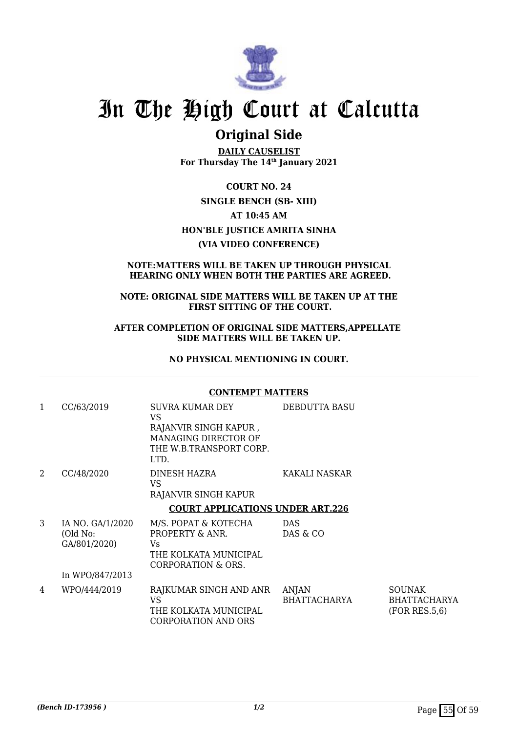

## **Original Side**

**DAILY CAUSELIST For Thursday The 14th January 2021**

**COURT NO. 24 SINGLE BENCH (SB- XIII) AT 10:45 AM HON'BLE JUSTICE AMRITA SINHA (VIA VIDEO CONFERENCE)**

## **NOTE:MATTERS WILL BE TAKEN UP THROUGH PHYSICAL HEARING ONLY WHEN BOTH THE PARTIES ARE AGREED.**

### **NOTE: ORIGINAL SIDE MATTERS WILL BE TAKEN UP AT THE FIRST SITTING OF THE COURT.**

### **AFTER COMPLETION OF ORIGINAL SIDE MATTERS,APPELLATE SIDE MATTERS WILL BE TAKEN UP.**

## **NO PHYSICAL MENTIONING IN COURT.**

### **CONTEMPT MATTERS**

| 1 | CC/63/2019                                   | SUVRA KUMAR DEY<br>VS<br>RAJANVIR SINGH KAPUR,<br>MANAGING DIRECTOR OF<br>THE W.B.TRANSPORT CORP.<br>LTD. | <b>DEBDUTTA BASU</b>  |                                                       |
|---|----------------------------------------------|-----------------------------------------------------------------------------------------------------------|-----------------------|-------------------------------------------------------|
| 2 | CC/48/2020                                   | DINESH HAZRA<br>VS<br>RAJANVIR SINGH KAPUR                                                                | KAKALI NASKAR         |                                                       |
|   |                                              | <b>COURT APPLICATIONS UNDER ART.226</b>                                                                   |                       |                                                       |
| 3 | IA NO. GA/1/2020<br>(Old No:<br>GA/801/2020) | M/S. POPAT & KOTECHA<br>PROPERTY & ANR.<br>Vs.<br>THE KOLKATA MUNICIPAL<br>CORPORATION & ORS.             | DAS<br>DAS & CO       |                                                       |
|   | In WPO/847/2013                              |                                                                                                           |                       |                                                       |
| 4 | WPO/444/2019                                 | RAJKUMAR SINGH AND ANR<br><b>VS</b><br>THE KOLKATA MUNICIPAL<br><b>CORPORATION AND ORS</b>                | ANJAN<br>BHATTACHARYA | <b>SOUNAK</b><br><b>BHATTACHARYA</b><br>(FOR RES.5.6) |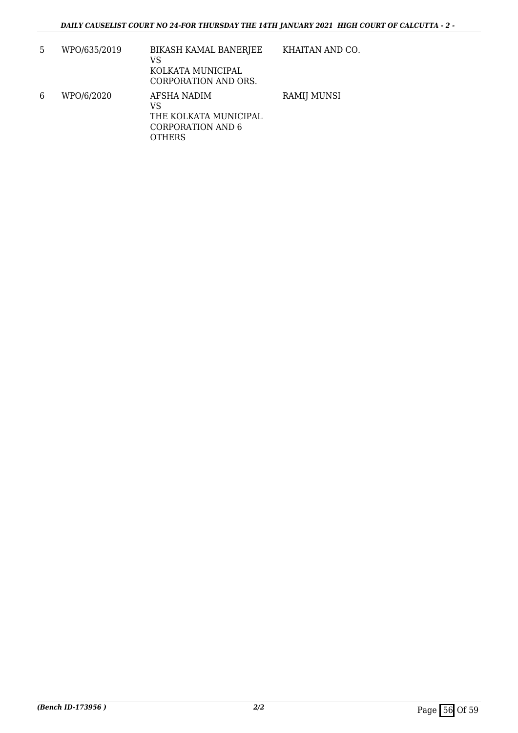| 5 | WPO/635/2019 | <b>BIKASH KAMAL BANERJEE</b><br>VS<br>KOLKATA MUNICIPAL<br>CORPORATION AND ORS. | KHAITAN AND CO.    |
|---|--------------|---------------------------------------------------------------------------------|--------------------|
| 6 | WPO/6/2020   | AFSHA NADIM<br>VS<br>THE KOLKATA MUNICIPAL<br>CORPORATION AND 6<br>OTHERS       | <b>RAMIJ MUNSI</b> |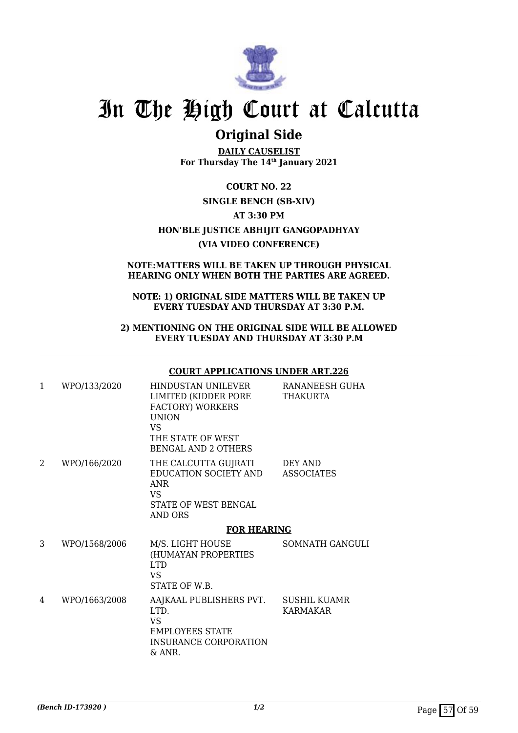

## **Original Side**

**DAILY CAUSELIST For Thursday The 14th January 2021**

**COURT NO. 22 SINGLE BENCH (SB-XIV) AT 3:30 PM HON'BLE JUSTICE ABHIJIT GANGOPADHYAY (VIA VIDEO CONFERENCE)**

## **NOTE:MATTERS WILL BE TAKEN UP THROUGH PHYSICAL HEARING ONLY WHEN BOTH THE PARTIES ARE AGREED.**

### **NOTE: 1) ORIGINAL SIDE MATTERS WILL BE TAKEN UP EVERY TUESDAY AND THURSDAY AT 3:30 P.M.**

### **2) MENTIONING ON THE ORIGINAL SIDE WILL BE ALLOWED EVERY TUESDAY AND THURSDAY AT 3:30 P.M**

### **COURT APPLICATIONS UNDER ART.226**

| $\mathbf{1}$ | WPO/133/2020  | HINDUSTAN UNILEVER<br>LIMITED (KIDDER PORE<br>FACTORY) WORKERS<br><b>UNION</b><br>VS.<br>THE STATE OF WEST<br><b>BENGAL AND 2 OTHERS</b> | RANANEESH GUHA<br>THAKURTA   |  |
|--------------|---------------|------------------------------------------------------------------------------------------------------------------------------------------|------------------------------|--|
| 2            | WPO/166/2020  | THE CALCUTTA GUJRATI<br>EDUCATION SOCIETY AND<br><b>ANR</b><br>VS.<br>STATE OF WEST BENGAL<br><b>AND ORS</b>                             | DEY AND<br><b>ASSOCIATES</b> |  |
|              |               | <b>FOR HEARING</b>                                                                                                                       |                              |  |
| 3            | WPO/1568/2006 | M/S. LIGHT HOUSE<br>(HUMAYAN PROPERTIES<br><b>LTD</b><br>VS.<br>STATE OF W.B.                                                            | SOMNATH GANGULI              |  |
| 4            | WPO/1663/2008 | AAJKAAL PUBLISHERS PVT. SUSHIL KUAMR<br>LTD.<br><b>VS</b><br><b>EMPLOYEES STATE</b><br><b>INSURANCE CORPORATION</b><br>& ANR.            | KARMAKAR                     |  |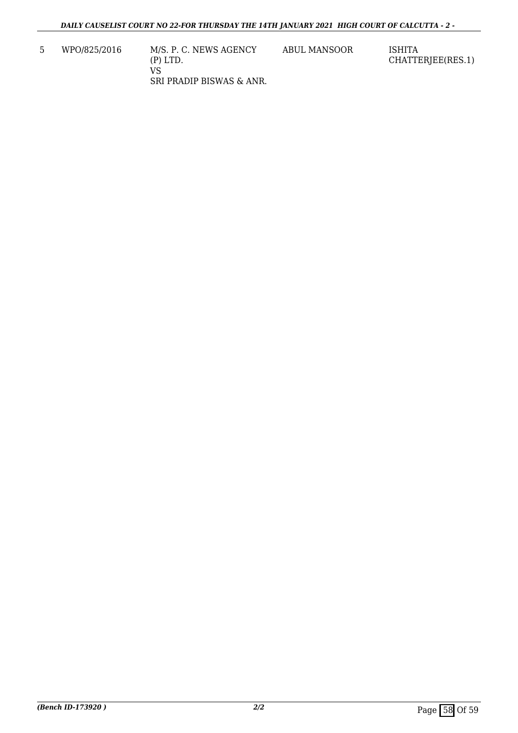5 WPO/825/2016 M/S. P. C. NEWS AGENCY (P) LTD. VS SRI PRADIP BISWAS & ANR. ABUL MANSOOR ISHITA

CHATTERJEE(RES.1)